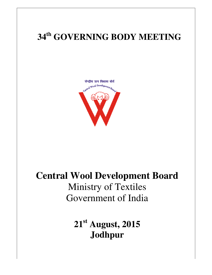# **34th GOVERNING BODY MEETING MEETING**



# **Central Wool Development Board Central Wool Development** Ministry of Textiles Government of India

**21st August, 2015 Jodhpur**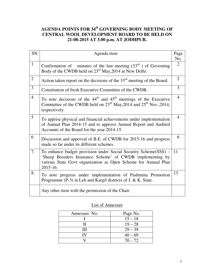## **AGENDA POINTS FOR 34th GOVERNING BODY MEETING OF CENTRAL WOOL DEVELOPMENT BOARD TO BE HELD ON 21-08-2015 AT 3.00 p.m. AT JODHPUR.**

| SN             | Agenda item                                                                                                                                                                                                | Page                  |
|----------------|------------------------------------------------------------------------------------------------------------------------------------------------------------------------------------------------------------|-----------------------|
| $\mathbf{1}$   | Confirmation of minutes of the last meeting $(33rd)$ of Governing<br>Body of the CWDB held on 23 <sup>rd</sup> May, 2014 at New Delhi.                                                                     | No.<br>$\overline{2}$ |
| $\mathbf{2}$   | Action taken report on the decisions of the $33rd$ meeting of the Board.                                                                                                                                   | $\overline{2}$        |
| 3              | Constitution of fresh Executive Committee of the CWDB.                                                                                                                                                     | 3                     |
| $\overline{4}$ | To note decisions of the $44th$ and $45th$ meetings of the Executive<br>Committee of the CWDB held on 23 <sup>rd</sup> May, 2014 and 25 <sup>th</sup> Nov., 2014,<br>respectively.                         | $\overline{4}$        |
| 5              | To apprise physical and financial achievements under implementation<br>of Annual Plan 2014-15 and to approve Annual Report and Audited<br>Accounts of the Board for the year 2014-15.                      | $\overline{4}$        |
| 6              | Discussion and approval of B.E. of CWDB for 2015-16 and progress<br>made so far under its different schemes.                                                                                               | 6                     |
| 7.             | To enhance budget provision under Social Security Scheme(SSS) -<br>'Sheep Breeders Insurance Scheme' of CWDB implementing by<br>various State Govt organization as Open Scheme for Annual Plan<br>2015-16. | 11                    |
| 8.             | To note progress under implementation of Pashmina Promotion<br>Programme (P-3) in Leh and Kargil districts of J. & K. State.                                                                               | 13                    |
|                | Any other item with the permission of the Chair.                                                                                                                                                           |                       |

## List of Annexure

| Annexure No. | Page No.  |
|--------------|-----------|
|              | $15 - 18$ |
|              | $19 - 28$ |
| Ш            | $29 - 39$ |
|              | $40 - 69$ |
|              | $70 - 72$ |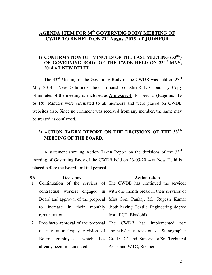## **AGENDA ITEM FOR 34th GOVERNING BODY MEETING OF CWDB TO BE HELD ON 21st August,2015 AT JODHPUR**

## **1) CONFIRMATION OF MINUTES OF THE LAST MEETING (33RD)**  OF GOVERNING BODY OF THE CWDB HELD ON 23<sup>RD</sup> MAY, **2014 AT NEW DELHI.**

 The 33rd Meeting of the Governing Body of the CWDB was held on 23rd May, 2014 at New Delhi under the chairmanship of Shri K. L. Choudhary. Copy of minutes of the meeting is enclosed as **Annexure-I** for perusal **(Page no. 15 to 18).** Minutes were circulated to all members and were placed on CWDB websites also**.** Since no comment was received from any member, the same may be treated as confirmed.

## **2) ACTION TAKEN REPORT ON THE DECISIONS OF THE 33RD MEETING OF THE BOARD.**

 A statement showing Action Taken Report on the decisions of the 33rd meeting of Governing Body of the CWDB held on 23-05-2014 at New Delhi is placed before the Board for kind perusal.

| <b>SN</b>    | <b>Decisions</b>          | <b>Action taken</b>                                                      |
|--------------|---------------------------|--------------------------------------------------------------------------|
| $\mathbf{1}$ |                           | Continuation of the services of The CWDB has continued the services      |
|              |                           | contractual workers engaged in with one month break in their services of |
|              |                           | Board and approval of the proposal   Miss Soni Pankaj, Mr. Rupesh Kumar  |
|              | in<br>increase<br>to      | their monthly   (both having Textile Engineering degree                  |
|              | remuneration.             | from IICT, Bhadohi)                                                      |
| 2            |                           | Post-facto approval of the proposal The CWDB has implemented<br>pay      |
|              |                           | of pay anomaly/pay revision of anomaly/ pay revision of Stenographer     |
|              | Board                     | employees, which has Grade 'C' and Supervisor/Sr. Technical              |
|              | already been implemented. | Assistant, WTC, Bikaner.                                                 |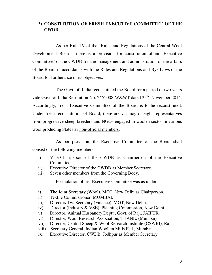## **3) CONSTITUTION OF FRESH EXECUTIVE COMMITTEE OF THE CWDB.**

 As per Rule IV of the "Rules and Regulations of the Central Wool Development Board", there is a provision for constitution of an "Executive Committee" of the CWDB for the management and administration of the affairs of the Board in accordance with the Rules and Regulations and Bye Laws of the Board for furtherance of its objectives.

 The Govt. of India reconstituted the Board for a period of two years vide Govt. of India Resolution No. 2/7/2008-W&WT dated 25<sup>th</sup> November, 2014. Accordingly, fresh Executive Committee of the Board is to be reconstituted. Under fresh reconstitution of Board, there are vacancy of eight representatives from progressive sheep breeders and NGOs engaged in woolen sector in various wool producing States as non-official members.

 As per provision, the Executive Committee of the Board shall consist of the following members:

- i) Vice-Chairperson of the CWDB as Chairperson of the Executive Committee;
- ii) Executive Director of the CWDB as Member Secretary.
- iii) Seven other members from the Governing Body.

Formulation of last Executive Committee was as under :

- i) The Joint Secretary (Wool), MOT, New Delhi as Chairperson.
- ii) Textile Commissioner, MUMBAI.
- iii) Director/ Dy. Secretary (Finance), MOT, New Delhi.
- iv) Director (Industry & VSE), Planning Commission, New Delhi.
- v) Director, Animal Husbandry Deptt., Govt. of Raj., JAIPUR.
- vi) Director, Wool Research Association, THANE. (Mumbai)
- vii) Director, Central Sheep & Wool Research Institute (CSWRI), Raj.
- viii) Secretary General, Indian Woollen Mills Fed., Mumbai.
- ix) Executive Director, CWDB, Jodhpur as Member Secretary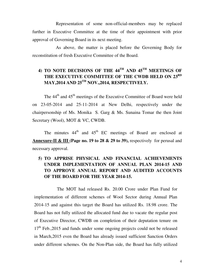Representation of some non-official-members may be replaced further in Executive Committee at the time of their appointment with prior approval of Governing Board in its next meeting.

 As above, the matter is placed before the Governing Body for reconstitution of fresh Executive Committee of the Board.

## **4) TO NOTE DECISIONS OF THE 44TH AND 45TH MEETINGS OF THE EXECUTIVE COMMITTEE OF THE CWDB HELD ON 23RD MAY,2014 AND 25TH NOV.,2014, RESPECTIVELY.**

The 44<sup>th</sup> and 45<sup>th</sup> meetings of the Executive Committee of Board were held on 23-05-2014 and 25-11-2014 at New Delhi, respectively under the chairpersonship of Ms. Monika S. Garg & Ms. Sunaina Tomar the then Joint Secretary (Wool), MOT & VC, CWDB.

The minutes  $44<sup>th</sup>$  and  $45<sup>th</sup>$  EC meetings of Board are enclosed at **Annexure-II & III (Page no. 19 to 28 & 29 to 39),** respectivelyfor perusal and necessary approval.

## **5) TO APPRISE PHYSICAL AND FINANCIAL ACHIEVEMENTS UNDER IMPLEMENTATION OF ANNUAL PLAN 2014-15 AND TO APPROVE ANNUAL REPORT AND AUDITED ACCOUNTS OF THE BOARD FOR THE YEAR 2014-15.**

 The MOT had released Rs. 20.00 Crore under Plan Fund for implementation of different schemes of Wool Sector during Annual Plan 2014-15 and against this target the Board has utilized Rs. 18.98 crore. The Board has not fully utilized the allocated fund due to vacate the regular post of Executive Director, CWDB on completion of their deputation tenure on  $17<sup>th</sup>$  Feb., 2015 and funds under some ongoing projects could not be released in March,2015 even the Board has already issued sufficient Sanction Orders under different schemes. On the Non-Plan side, the Board has fully utilized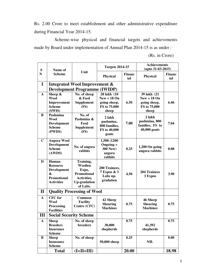Rs. 2.00 Crore to meet establishment and other administrative expenditure during Financial Year 2014-15.

 Scheme-wise physical and financial targets and achievements made by Board under implementation of Annual Plan 2014-15 is as under :

(Rs. in Crore)

|              |                                          |                                      | <b>Targets 2014-15</b>       |                      | <b>Achievements</b><br>$($ upto 31-03-2015 $)$ |                      |  |
|--------------|------------------------------------------|--------------------------------------|------------------------------|----------------------|------------------------------------------------|----------------------|--|
| S<br>N       | Name of<br><b>Scheme</b>                 | Unit                                 | <b>Physical</b>              | <b>Financ</b><br>ial | <b>Physical</b>                                | <b>Financ</b><br>ial |  |
| I            |                                          | Integrated Wool Improvement &        |                              |                      |                                                |                      |  |
|              |                                          | <b>Development Programme (IWIDP)</b> |                              |                      |                                                |                      |  |
| $\mathbf{A}$ | Sheep &                                  | No. of sheep                         | 28 lakh (10                  |                      | 39 lakh (21                                    |                      |  |
|              | <b>Wool</b>                              | & Feed                               | $New + 18 On$                |                      | $New + 18 On$                                  |                      |  |
|              | Improvement<br><b>Scheme</b>             | <b>Supplement</b><br>(FS)            | going sheep,<br>FS to 75,000 | 6.50                 | going sheep,<br>FS to 75,000                   | 6.46                 |  |
|              | (SWIS)                                   |                                      | sheep                        |                      | sheep                                          |                      |  |
| B            | Pashmina                                 | No. of                               | 2 lakh                       |                      | 2 lakh                                         |                      |  |
|              | <b>Wool</b><br><b>Development</b>        | Pashmina &<br>Feed                   | pashmina,                    | 7.00                 | pashmina, 800                                  | 7.04                 |  |
|              | <b>Scheme</b>                            | <b>Supplement</b>                    | 800 families,                |                      | families, FS to                                |                      |  |
|              | (PWDS)                                   | (FS)                                 | FS to 40,000<br>goats        |                      | 40,000 goats                                   |                      |  |
|              |                                          |                                      |                              |                      |                                                |                      |  |
| $\mathbf C$  | <b>Angora Wool</b><br><b>Development</b> |                                      | 1,500 (1200<br>Ongoing +     |                      |                                                |                      |  |
|              | <b>Scheme</b>                            | No. of angora<br>0.25<br>300 New)    |                              |                      | 1,200 On going                                 | 0.08                 |  |
|              | (AWDS)                                   | rabbits                              | angora                       |                      | angora rabbits                                 |                      |  |
| D            | Human                                    |                                      | rabbits                      |                      |                                                |                      |  |
|              | <b>Resource</b>                          | Training,<br>Woollen                 |                              |                      |                                                |                      |  |
|              | Development                              | Expo,                                | 200 Trainees,<br>7 Expos & 3 |                      | <b>204 Trainees</b>                            |                      |  |
|              | &                                        | <b>Promotional</b>                   | Labs up-                     | 4.50                 | 3 Expos                                        | 3.90                 |  |
|              | <b>Promotional</b><br><b>Activities</b>  | Activities,<br><b>Up-gradation</b>   | gradation                    |                      |                                                |                      |  |
|              |                                          | of Labs.                             |                              |                      |                                                |                      |  |
| $\mathbf{I}$ |                                          | <b>Quality Processing of Wool</b>    |                              |                      |                                                |                      |  |
| $\mathbf{A}$ | <b>CFC</b> for                           | <b>Common</b>                        | 42 Sheep                     |                      | <b>46 Sheep</b>                                |                      |  |
|              | <b>Wool</b>                              | <b>Facility</b>                      | <b>Shearing</b>              | 0.75                 | <b>Shearing</b>                                | 0.75                 |  |
|              | Processing<br><b>Facilities</b>          | Centre (CFC)                         | <b>Machines</b>              |                      | <b>Machines</b>                                |                      |  |
| Ш            | <b>Social Security Scheme</b>            |                                      |                              |                      |                                                |                      |  |
| $\mathbf{A}$ | <b>Sheep</b>                             | No. of sheep                         |                              | 0.75                 |                                                | 0.75                 |  |
|              | <b>Breeders</b>                          | breeders                             | 30,000                       |                      | 41,392                                         |                      |  |
|              | <b>Insurance</b><br><b>Scheme</b>        |                                      | shepherds                    |                      | shepherds                                      |                      |  |
| B            | <b>Sheep</b>                             | No. of sheep                         |                              | 0.25                 |                                                | 0.00                 |  |
|              | <b>Insurance</b>                         |                                      | 50,000 sheep                 |                      | <b>NIL</b>                                     |                      |  |
|              | <b>Scheme</b>                            |                                      |                              |                      |                                                |                      |  |
|              | <b>Total</b>                             | $(I+II+III)$                         |                              | 20.00                |                                                | 18.98                |  |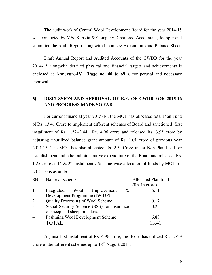The audit work of Central Wool Development Board for the year 2014-15 was conducted by M/s. Kanstia & Company, Chartered Accountant, Jodhpur and submitted the Audit Report along with Income & Expenditure and Balance Sheet.

Draft Annual Report and Audited Accounts of the CWDB for the year 2014-15 alongwith detailed physical and financial targets and achievements is enclosed at **Annexure-IV (Page no. 40 to 69 ),** for perusal and necessary approval.

## 6) **DISCUSSION AND APPROVAL OF B.E. OF CWDB FOR 2015-16 AND PROGRESS MADE SO FAR.**

 For current financial year 2015-16, the MOT has allocated total Plan Fund of Rs. 13.41 Crore to implement different schemes of Board and sanctioned first installment of Rs. 1.52+3.44= Rs. 4.96 crore and released Rs. 3.95 crore by adjusting unutilized balance grant amount of Rs. 1.01 crore of previous year 2014-15. The MOT has also allocated Rs. 2.5 Crore under Non-Plan head for establishment and other administrative expenditure of the Board and released Rs. 1.25 crore as 1st & 2nd instalments**.** Scheme-wise allocation of funds by MOT for 2015-16 is as under :

| <b>SN</b>      | Name of scheme                             | Allocated Plan fund |
|----------------|--------------------------------------------|---------------------|
|                |                                            | (Rs. In crore)      |
|                | &<br>Integrated Wool Improvement           | 6.11                |
|                | Development Programme (IWIDP)              |                     |
| $\overline{2}$ | Quality Processing of Wool Scheme          | 0.17                |
| 3              | Social Security Scheme (SSS) for insurance | 0.25                |
|                | of sheep and sheep breeders.               |                     |
|                | Pashmina Wool Development Scheme           | 6.88                |
|                | TOTAL.                                     | 1341                |

Against first instalment of Rs. 4.96 crore, the Board has utilized Rs. 1.739 crore under different schemes up to  $18<sup>th</sup>$  August, 2015.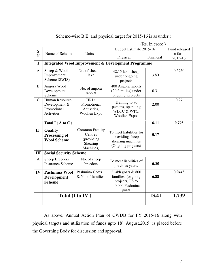|                | (Rs. in crore)                                                             |                                                                          |                                                                                        |                         |                      |
|----------------|----------------------------------------------------------------------------|--------------------------------------------------------------------------|----------------------------------------------------------------------------------------|-------------------------|----------------------|
| ${\bf S}$      | Name of Scheme                                                             | Units                                                                    |                                                                                        | Budget Estimate 2015-16 |                      |
| $\overline{N}$ |                                                                            |                                                                          | Physical                                                                               | Financial               | so far in<br>2015-16 |
| $\mathbf I$    |                                                                            |                                                                          | <b>Integrated Wool Improvement &amp; Development Programme</b>                         |                         |                      |
| A              | Sheep & Wool<br>Improvement<br>Scheme (SWIS)                               | No. of sheep in<br>lakh                                                  | 42.15 lakh sheep<br>under ongoing<br>projects                                          | 3.80                    | 0.5250               |
| B              | Angora Wool<br>Development<br>Scheme                                       | No. of angora<br>rabbits                                                 | 400 Angora rabbits<br>(20 families) under<br>ongoing projects                          | 0.31                    |                      |
| $\mathcal{C}$  | <b>Human Resource</b><br>Development &<br>Promotional<br><b>Activities</b> | HRD,<br>Promotional<br>Activities,<br>Woollen Expo                       | Training to 90<br>persons, operating<br>WDTC & WTC,<br><b>Woollen Expos</b>            | 2.00                    | 0.27                 |
|                | Total I ( $A$ to $C$ )                                                     |                                                                          |                                                                                        | 6.11                    | 0.795                |
| $\mathbf{I}$   | Quality<br><b>Processing of</b><br><b>Wool Scheme</b>                      | <b>Common Facility</b><br>Centres<br>(providing<br>Shearing<br>Machines) | To meet liabilities for<br>providing sheep<br>shearing machines<br>(Ongoing projects)  | 0.17                    |                      |
| Ш              | <b>Social Security Scheme</b>                                              |                                                                          |                                                                                        |                         |                      |
| A              | <b>Sheep Breeders</b><br><b>Insurance Scheme</b>                           | No. of sheep<br>breeders                                                 | To meet liabilities of<br>previous years.                                              | 0.25                    |                      |
| $\mathbf{IV}$  | Pashmina Wool<br><b>Development</b><br><b>Scheme</b>                       | Pashmina Goats<br>& No. of families                                      | 2 lakh goats & 800<br>families (ongoing<br>projects) FS to<br>40,000 Pashmina<br>goats | 6.88                    | 0.9445               |
|                |                                                                            | Total (I to IV)                                                          |                                                                                        | 13.41                   | 1.739                |

Scheme-wise B.E. and physical target for 2015-16 is as under :

 As above, Annual Action Plan of CWDB for FY 2015-16 along with physical targets and utilization of funds upto  $18<sup>th</sup>$  August, 2015 is placed before the Governing Body for discussion and approval.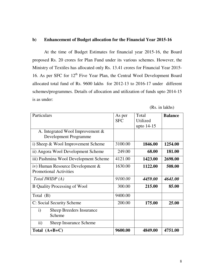## **b) Enhancement of Budget allocation for the Financial Year 2015-16**

 At the time of Budget Estimates for financial year 2015-16, the Board proposed Rs. 20 crores for Plan Fund under its various schemes. However, the Ministry of Textiles has allocated only Rs. 13.41 crores for Financial Year 2015- 16. As per SFC for 12<sup>th</sup> Five Year Plan, the Central Wool Development Board allocated total fund of Rs. 9600 lakhs for 2012-13 to 2016-17 under different schemes/programmes. Details of allocation and utilization of funds upto 2014-15 is as under:

(Rs. in lakhs)

| Particulars                                                       | As per<br><b>SFC</b> | Total<br>Utilized<br>upto 14-15 | <b>Balance</b> |
|-------------------------------------------------------------------|----------------------|---------------------------------|----------------|
| A. Integrated Wool Improvement $\&$<br>Development Programme      |                      |                                 |                |
| i) Sheep $&$ Wool Improvement Scheme                              | 3100.00              | 1846.00                         | 1254.00        |
| ii) Angora Wool Development Scheme                                | 249.00               | 68.00                           | 181.00         |
| iii) Pashmina Wool Development Scheme                             | 4121.00              | 1423.00                         | 2698.00        |
| iv) Human Resource Development &<br><b>Promotional Activities</b> | 1630.00              | 1122.00                         | 508.00         |
| Total <i>IWIDP</i> (A)                                            | 9100.00              | 4459.00                         | 4641.00        |
| <b>B</b> Quality Processing of Wool                               | 300.00               | 215.00                          | 85.00          |
| Total $(B)$                                                       | 9400.00              |                                 |                |
| C: Social Security Scheme                                         | 200.00               | 175.00                          | 25.00          |
| $\mathbf{i}$<br><b>Sheep Breeders Insurance</b><br>Scheme         |                      |                                 |                |
| ii)<br><b>Sheep Insurance Scheme</b>                              |                      |                                 |                |
| Total $(A+B+C)$                                                   | 9600.00              | 4849.00                         | 4751.00        |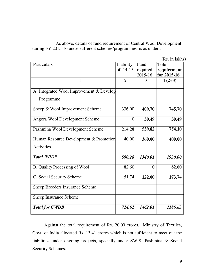As above, details of fund requirement of Central Wool Development during FY 2015-16 under different schemes/programmes is as under :

**(**Rs. in lakhs**)**

| Particulars                              | Liability      | Fund             | <b>Total</b> |
|------------------------------------------|----------------|------------------|--------------|
|                                          | of 14-15       | required         | requirement  |
|                                          |                | 2015-16          | for 2015-16  |
| 1                                        | $\overline{2}$ | 3                | $4(2+3)$     |
|                                          |                |                  |              |
| A. Integrated Wool Improvement & Develop |                |                  |              |
| Programme                                |                |                  |              |
| Sheep & Wool Improvement Scheme          | 336.00         | 409.70           | 745.70       |
| Angora Wool Development Scheme           | $\theta$       | 30.49            | 30.49        |
| Pashmina Wool Development Scheme         | 214.28         | 539.82           | 754.10       |
| Human Resource Development & Promotion   | 40.00          | 360.00           | 400.00       |
| Activities                               |                |                  |              |
| <b>Total IWIDP</b>                       | 590.28         | 1340.01          | 1930.00      |
| <b>B.</b> Quality Processing of Wool     | 82.60          | $\boldsymbol{0}$ | 82.60        |
| C. Social Security Scheme                | 51.74          | 122.00           | 173.74       |
| <b>Sheep Breeders Insurance Scheme</b>   |                |                  |              |
| Sheep Insurance Scheme                   |                |                  |              |
| <b>Total for CWDB</b>                    | 724.62         | 1462.01          | 2186.63      |

 Against the total requirement of Rs. 20.00 crores, Ministry of Textiles, Govt. of India allocated Rs. 13.41 crores which is not sufficient to meet out the liabilities under ongoing projects, specially under SWIS, Pashmina & Social Security Schemes.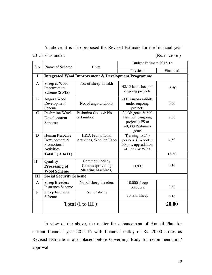As above, it is also proposed the Revised Estimate for the financial year 2015-16 as under: (Rs. in crore )

| S <sub>N</sub><br>Name of Scheme<br>Units |                                                                            | Budget Estimate 2015-16                                                   |                                                                                        |           |
|-------------------------------------------|----------------------------------------------------------------------------|---------------------------------------------------------------------------|----------------------------------------------------------------------------------------|-----------|
|                                           |                                                                            |                                                                           | Physical                                                                               | Financial |
| I                                         |                                                                            | <b>Integrated Wool Improvement &amp; Development Programme</b>            |                                                                                        |           |
| A                                         | Sheep & Wool<br>Improvement<br>Scheme (SWIS)                               | No. of sheep in lakh                                                      | 42.15 lakh sheep of<br>ongoing projects                                                | 6.50      |
| B                                         | Angora Wool<br>Development<br>Scheme                                       | No. of angora rabbits                                                     | 600 Angora rabbits<br>under ongoing<br>projects                                        | 0.50      |
| $\mathcal{C}$                             | Pashmina Wool<br>Development<br>Scheme                                     | Pashmina Goats & No.<br>of families                                       | 2 lakh goats & 800<br>families (ongoing<br>projects) FS to<br>40,000 Pashmina<br>goats | 7.00      |
| D                                         | <b>Human Resource</b><br>Development &<br>Promotional<br><b>Activities</b> | HRD, Promotional<br>Activities, Woollen Expo                              | Training to 250<br>persons, 6 Woollen<br>Expos, upgradation<br>of Labs by WRA          | 4.50      |
|                                           | Total I ( $A$ to $D$ )                                                     |                                                                           |                                                                                        | 18.50     |
| $\mathbf{I}$                              | Quality<br>Processing of<br><b>Wool Scheme</b>                             | <b>Common Facility</b><br>Centres (providing<br><b>Shearing Machines)</b> | 1 CFC                                                                                  | 0.50      |
| III                                       | <b>Social Security Scheme</b>                                              |                                                                           |                                                                                        |           |
| $\mathbf{A}$                              | <b>Sheep Breeders</b><br><b>Insurance Scheme</b>                           | No. of sheep breeders                                                     | 10,000 sheep<br>breeders                                                               | 0.50      |
| B                                         | Sheep Insurance<br>Scheme                                                  | No. of sheep                                                              | 50 lakh sheep                                                                          | 0.50      |
|                                           |                                                                            | Total (I to III)                                                          |                                                                                        | 20.00     |

 In view of the above, the matter for enhancement of Annual Plan for current financial year 2015-16 with financial outlay of Rs. 20.00 crores as Revised Estimate is also placed before Governing Body for recommendation/ approval.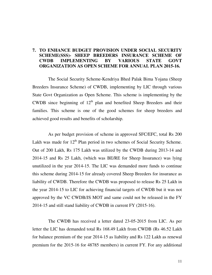## **7. TO ENHANCE BUDGET PROVISION UNDER SOCIAL SECURITY SCHEME(SSS)- SHEEP BREEDERS INSURANCE SCHEME OF CWDB IMPLEMENTING BY VARIOUS STATE GOVT ORGANIZATION AS OPEN SCHEME FOR ANNUAL PLAN 2015-16.**

 The Social Security Scheme-Kendriya Bhed Palak Bima Yojana (Sheep Breeders Insurance Scheme) of CWDB, implementing by LIC through various State Govt Organization as Open Scheme. This scheme is implementing by the CWDB since beginning of  $12<sup>th</sup>$  plan and benefited Sheep Breeders and their families. This scheme is one of the good schemes for sheep breeders and achieved good results and benefits of scholarship.

 As per budget provision of scheme in approved SFC/EFC, total Rs 200 Lakh was made for  $12<sup>th</sup>$  Plan period in two schemes of Social Security Scheme. Out of 200 Lakh, Rs 175 Lakh was utilized by the CWDB during 2013-14 and 2014-15 and Rs 25 Lakh, (which was BE/RE for Sheep Insurance) was lying unutilized in the year 2014-15. The LIC was demanded more funds to continue this scheme during 2014-15 for already covered Sheep Breeders for insurance as liability of CWDB. Therefore the CWDB was proposed to release Rs 25 Lakh in the year 2014-15 to LIC for achieving financial targets of CWDB but it was not approved by the VC CWDB/JS MOT and same could not be released in the FY 2014-15 and still stand liability of CWDB in current FY (2015-16).

 The CWDB has received a letter dated 23-05-2015 from LIC. As per letter the LIC has demanded total Rs 168.49 Lakh from CWDB (Rs 46.52 Lakh for balance premium of the year 2014-15 as liability and Rs 122 Lakh as renewal premium for the 2015-16 for 48785 members) in current FY. For any additional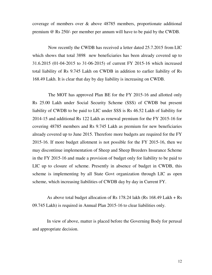coverage of members over & above 48785 members, proportionate additional premium @ Rs 250/- per member per annum will have to be paid by the CWDB.

 Now recently the CWDB has received a letter dated 25.7.2015 from LIC which shows that total 3898 new beneficiaries has been already covered up to 31.6.2015 (01-04-2015 to 31-06-2015) of current FY 2015-16 which increased total liability of Rs 9.745 Lakh on CWDB in addition to earlier liability of Rs 168.49 Lakh. It is clear that day by day liability is increasing on CWDB.

 The MOT has approved Plan BE for the FY 2015-16 and allotted only Rs 25.00 Lakh under Social Security Scheme (SSS) of CWDB but present liability of CWDB to be paid to LIC under SSS is Rs 46.52 Lakh of liability for 2014-15 and additional Rs 122 Lakh as renewal premium for the FY 2015-16 for covering 48785 members and Rs 9.745 Lakh as premium for new beneficiaries already covered up to June 2015. Therefore more budgets are required for the FY 2015-16. If more budget allotment is not possible for the FY 2015-16, then we may discontinue implementation of Sheep and Sheep Breeders Insurance Scheme in the FY 2015-16 and made a provision of budget only for liability to be paid to LIC up to closure of scheme. Presently in absence of budget in CWDB, this scheme is implementing by all State Govt organization through LIC as open scheme, which increasing liabilities of CWDB day by day in Current FY.

 As above total budget allocation of Rs 178.24 lakh (Rs 168.49 Lakh + Rs 09.745 Lakh) is required in Annual Plan 2015-16 to clear liabilities only.

 In view of above, matter is placed before the Governing Body for perusal and appropriate decision.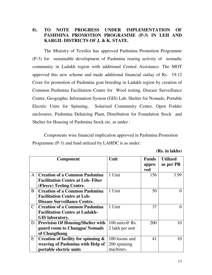## **8). TO NOTE PROGRESS UNDER IMPLEMENTATION OF PASHMINA PROMOTION PROGRAMME (P-3) IN LEH AND KARGIL DISTRICTS OF J. & K. STATE.**

 The Ministry of Textiles has approved Pashmina Promotion Programme (P-3) for sustainable development of Pashmina rearing activity of nomadic community in Ladakh region with additional Central Assistance. The MOT approved this new scheme and made additional financial outlay of Rs. 19.12 Crore for promotion of Pashmina goat breeding in Ladakh region by creation of Common Pashmina Facilitation Centre for Wool testing, Disease Surveillance Centre, Geographic Information System (GIS) Lab, Shelter for Nomads, Portable Electric Units for Spinning, Solarised Community Centre, Open Fodder enclosures, Pashmina Dehairing Plant, Distribution for Foundation Stock and Shelter for Housing of Pashmina Stock etc. as under :

Components wise financial implication approved in Pashmina Promotion Programme (P-3) and fund utilized by LAHDC is as under:

 **(Rs. in lakhs)**

|               | <b>Component</b>                         | Unit              | <b>Funds</b> | <b>Utilized</b> |
|---------------|------------------------------------------|-------------------|--------------|-----------------|
|               |                                          |                   | appro        | as per PR       |
|               |                                          |                   | ved          |                 |
| A             | <b>Creation of a Common Pashmina</b>     | 1 Unit            | 156          | 3.99            |
|               | <b>Facilitation Centre at Leh-Fiber</b>  |                   |              |                 |
|               | (Fleece) Testing Centre.                 |                   |              |                 |
| B             | <b>Creation of a Common Pashmina</b>     | 1 Unit            | 50           |                 |
|               | <b>Facilitation Centre at Leh-</b>       |                   |              |                 |
|               | Disease Surveillance Centre.             |                   |              |                 |
| $\mathcal{C}$ | <b>Creation of a Common Pashmina</b>     | 1 Unit            | 37           |                 |
|               | <b>Facilitation Centre at Ladakh-</b>    |                   |              |                 |
|               | <b>GIS</b> laboratory.                   |                   |              |                 |
| D             | <b>Provision Of Housing/Shelter with</b> | 100 units $@$ Rs. | 200          | 10              |
|               | guard room to Changpa/Nomads             | 2 lakh per unit   |              |                 |
|               | of Changthang                            |                   |              |                 |
| E             | Creation of facility for spinning &      | 100 looms and     | 41           | 10              |
|               | weaving of Pashmina with Help of         | 200 spinning      |              |                 |
|               | portable electric units                  | machines.         |              |                 |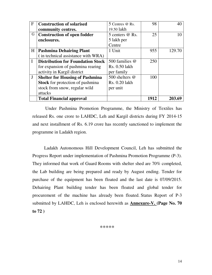| $\mathbf{F}$ | <b>Construction of solarised</b>         | 5 Centres @ Rs. | 98   |        |
|--------------|------------------------------------------|-----------------|------|--------|
|              | community centres.                       | 19.50 lakh      |      |        |
| G            | <b>Construction of open fodder</b>       | 5 centers @ Rs. | 25   |        |
|              | enclosures.                              | 5 lakh per      |      |        |
|              |                                          | Centre          |      |        |
| H            | <b>Pashmina Dehairing Plant</b>          | 1 Unit          | 955  | 129.70 |
|              | (in technical assistance with WRA)       |                 |      |        |
|              | <b>Distribution for Foundation Stock</b> | 500 families @  | 250  |        |
|              | for expansion of pashmina rearing        | Rs. 0.50 lakh   |      |        |
|              | activity in Kargil district              | per family      |      |        |
| J            | <b>Shelter for Housing of Pashmina</b>   | 500 shelters @  | 100  |        |
|              | <b>Stock</b> for protection of pashmina  | Rs. 0.20 lakh   |      |        |
|              | stock from snow, regular wild            | per unit        |      |        |
|              | attacks                                  |                 |      |        |
|              | <b>Total Financial approval</b>          |                 | 1912 | 203.69 |

 Under Pashmina Promotion Programme, the Ministry of Textiles has released Rs. one crore to LAHDC, Leh and Kargil districts during FY 2014-15 and next installment of Rs. 6.19 crore has recently sanctioned to implement the programme in Ladakh region.

 Ladakh Autonomous Hill Development Council, Leh has submitted the Progress Report under implementation of Pashmina Promotion Programme (P-3). They informed that work of Guard Rooms with shelter shed are 70% completed, the Lab building are being prepared and ready by August ending. Tender for purchase of the equipment has been floated and the last date is 07/09/2015. Dehairing Plant building tender has been floated and global tender for procurement of the machine has already been floated. Status Report of P-3 submitted by LAHDC, Leh is enclosed herewith as **Annexure-V. (Page No. 70 to 72 )** 

\*\*\*\*\*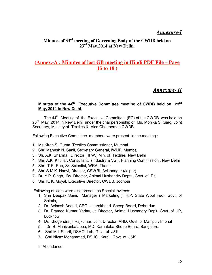## *Annexure-I*

## **Minutes of 33rd meeting of Governing Body of the CWDB held on 23rd May,2014 at New Delhi.**

## **(Annex.-A : Minutes of last GB meeting in Hindi PDF File – Page 15 to 18 )**

## *Annexure- II*

## **Minutes of the 44th Executive Committee meeting of CWDB held on 23rd May, 2014 in New Delhi**.

The  $44<sup>th</sup>$  Meeting of the Executive Committee (EC) of the CWDB was held on  $23<sup>rd</sup>$  May, 2014 in New Delhi under the chairpersonship of Ms. Monika S. Garg, Joint Secretary, Ministry of Textiles & Vice Chairperson CWDB.

Following Executive Committee members were present in the meeting :

- 1. Ms Kiran S. Gupta ,Textiles Commissioner, Mumbai
- 2. Shri Mahesh N. Sanil, Secretary General, IWMF, Mumbai
- 3. Sh. A.K. Sharma , Director ( IFW.) Min. of Textiles New Delhi
- 4. Shri A.K. Khullar, Consultant, (Industry & VSI), Planning Commission , New Delhi
- 5. Shri T.R. Rao, Sr. Scientist, WRA, Thane
- 6. Shri S.M.K. Naqvi, Director, CSWRI, Avikanagar (Jaipur)
- 7. Dr. Y.P. Singh, Dy. Director, Animal Husbandry Deptt., Govt. of Raj.
- 8. Shri K. K. Goyal, Executive Director, CWDB, Jodhpur.

Following officers were also present as Special invitees:

- 1. Shri Deepak Saini, Manager ( Marketing ), H.P. State Wool Fed., Govt. of Shimla,
- 2. Dr. Avinash Anand, CEO, Uttarakhand Sheep Board, Dehradun.
- 3. Dr. Pramod Kumar Yadav, Jt. Director, Animal Husbandry Dep't. Govt. of UP, Lucknow
- 4. Dr. Khogendra jit Rajkumar, Joint Director, AHD, Govt. of Manipur, Imphal
- 5. Dr. B. Munivenkatappa, MD, Karnataka Sheep Board, Bangalore.
- 6. Shri Md. Sharif, DSHO, Leh, Govt. of J&K
- 7. Shri Niyaz Mohammad, DSHO, Kargil, Govt. of J&K

In Attendance :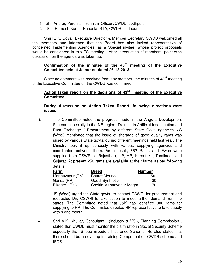- 1. Shri Anurag Purohit, Technical Officer /CWDB, Jodhpur.
- 2. Shri Ramesh Kumer Bundela, STA, CWDB, Jodhpur

Shri K. K. Goyal, Executive Director & Member Secretary CWDB welcomed all the members and informed that the Board has also invited representative of concerned Implementing Agencies (as a Special invitee) whose project proposals would be considered in this EC meeting . After introduction of members, point-wise discussion on the agenda was taken up.

## **I. Confirmation of the minutes of the 43rd meeting of the Executive Committee held at Jaipur on dated 26-12-2013.**

Since no comment was received from any member, the minutes of 43<sup>rd</sup> meeting of the Executive Committee of the CWDB was confirmed.

## **II. Action taken report on the decisions of 43rd meeting of the Executive Committee.**

## **During discussion on Action Taken Report, following directions were issued**

i. The Committee noted the progress made in the Angora Development Scheme especially in the NE region, Training in Artificial Insemination and Ram Exchange / Procurement by different State Govt. agencies. JS (Wool) mentioned that the issue of shortage of good quality rams was raised by various State govts. during different meetings held last year. The Ministry took it up seriously with various supplying agencies and coordinated between them. As a result, 652 Rams and Ewes were supplied from CSWRI to Rajasthan, UP, HP, Karnataka, Tamilnadu and Gujarat. At present 250 rams are available at their farms as per following details:

| Farm            | <b>Breed</b>            | <b>Number</b> |
|-----------------|-------------------------|---------------|
| Mannavanur (TN) | <b>Bharat Merino</b>    | 50            |
| Gansa (HP)      | Gaddi Synthetic         | -30           |
| Bikaner (Raj)   | Chokla Mannavanur Magra | 170           |

JS (Wool) urged the State govts. to contact CSWRI for procurement and requested Dir, CSWRI to take action to meet further demand from the states. The Committee noted that J&K has identified 300 rams for supplying to HP. The Committee directed HP representative to take supply within one month.

ii. Shri A.K. Khullar, Consultant, (Industry & VSI), Planning Commission , stated that CWDB must monitor the claim ratio in Social Security Scheme especially the Sheep Breeders Insurance Scheme. He also stated that there should be no overlap in training Component of CWDB scheme and ISDS .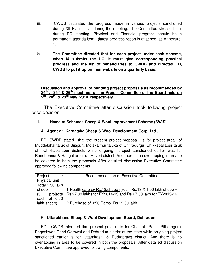- iii. CWDB circulated the progress made in various projects sanctioned during XII Plan so far during the meeting. The Committee stressed that during EC meeting, Physical and Financial progress should be a permanent agenda item. (latest progress report is attached as Annexure-1)
- iv. **The Committee directed that for each project under each scheme, when IA submits the UC, it must give corresponding physical progress and the list of beneficiaries to CWDB and directed ED, CWDB to put it up on their website on a quarterly basis.**

## **III.** Discussion and approval of pending project proposals as recommended by **24th , 25th & 26th meetings of the Project Committee of the Board held on 2 nd, 20th & 23rd May, 2014, respectively.**

 The Executive Committee after discussion took following project wise decision.

## **I. Name of Scheme: Sheep & Wool Improvement Scheme (SWIS)**

## **A. Agency : Karnataka Sheep & Wool Development Corp. Ltd.,**

ED, CWDB stated that the present project proposal is for project area of Muddebihal taluk of Bijapur,, Molakalmur taluka of Chitradurgu Chikkaballapur taluk of Chikkaballapur districts while ongoing project sanctioned earlier was for Ranebennur & Hangal area of Haveri district. And there is no overlapping in area to be covered in both the proposals After detailed discussion Executive Committee approved following components.

| Project         | Recommendation of Executive Committee                                   |
|-----------------|-------------------------------------------------------------------------|
| Physical unit   |                                                                         |
| Total 1.50 lakh |                                                                         |
| sheep           | 1-Health care $@$ Rs.18/sheep / year- Rs.18 X 1.50 lakh sheep =         |
| (3)             | projects   Rs.27.00 lakhs for FY2014-15 and Rs.27.00 lakh for FY2015-16 |
| each of 0.50    |                                                                         |
| lakh sheep)     | 2-Purchase of 250 Rams- Rs.12.50 lakh                                   |
|                 |                                                                         |

## B. **Uttarakhand Sheep & Wool Development Board, Dehradun**:

ED, CWDB informed that present project is for Chamoli, Pauri, Pithoragarh, Bageshwar, Tehri-Garhwal and Dehradun district of the state while on going project sanctioned earlier is for Uttarakashi & Rudraprayg district. And there is no overlapping in area to be covered in both the proposals. After detailed discussion Executive Committee approved following components.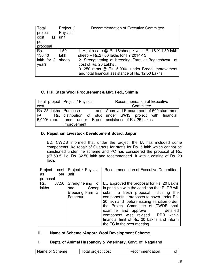| Total<br>project | Project<br>Physical | <b>Recommendation of Executive Committee</b>                                                           |
|------------------|---------------------|--------------------------------------------------------------------------------------------------------|
| cost<br>as       | unit                |                                                                                                        |
| per              |                     |                                                                                                        |
| proposal         |                     |                                                                                                        |
| Rs.              | 1.50                | 1. Health care @ Rs.18/sheep / year- Rs.18 X 1.50 lakh                                                 |
| 136.40           | lakh                | sheep = $Rs.27.00$ lakhs for FY 2014-15                                                                |
| lakh for 3       | sheep               | 2. Strengthening of breeding Farm at Bagheshwar at                                                     |
| years            |                     | cost of Rs. 20 Lakhs.                                                                                  |
|                  |                     | 3. 250 rams @ Rs. 5,000/- under Breed Improvement<br>and total financial assistance of Rs. 12.50 Lakhs |

## **C. H.P. State Wool Procurement & Mkt. Fed., Shimla**

|                        | Total project   Project / Physical | <b>Recommendation of Executive</b>                         |
|------------------------|------------------------------------|------------------------------------------------------------|
| cost                   |                                    | Committee                                                  |
| Rs 25 lakhs   Purchase |                                    | and   Approved Procurement of 500 stud rams                |
| @                      |                                    | Rs. distribution of stud under SWIS project with financial |
| 5,000/- ram.           |                                    | rams under Breed assistance of Rs. 25 Lakhs.               |
|                        | Improvement                        |                                                            |

## **D. Rajasthan Livestock Development Board, Jaipur**

ED, CWDB informed that under the project the IA has included some components like repair of Quarters for staffs for Rs. 5 lakh which cannot be sanctioned under the scheme and PC has considered the proposal of Rs. (37.50-5) i.e. Rs. 32.50 lakh and recommended it with a costing of Rs. 20 lakh.

| Project      |     | cost   Project / Physical                       | Recommendation of Executive Committee                                                                                                                                                                                                                                                                                                                                                                                                               |
|--------------|-----|-------------------------------------------------|-----------------------------------------------------------------------------------------------------------------------------------------------------------------------------------------------------------------------------------------------------------------------------------------------------------------------------------------------------------------------------------------------------------------------------------------------------|
| as           | per | unit                                            |                                                                                                                                                                                                                                                                                                                                                                                                                                                     |
| proposal     |     |                                                 |                                                                                                                                                                                                                                                                                                                                                                                                                                                     |
| Rs.<br>lakhs |     | Sheep  <br>one<br>Breeding Farm at<br>Fathepur. | 37.50 Strengthening of EC approved the proposal for Rs. 20 Lakhs<br>in principle with the condition that RLDB will<br>submit a fresh proposal indicating the<br>components it proposes to cover under Rs.<br>20 lakh and before issuing sanction order,<br>the Project Committee of CWDB shall<br>examine and approve<br>detailed<br>component wise revised DPR within<br>financial limit of Rs. 20 Lakhs and inform<br>the EC in the next meeting. |

## **II. Name of Scheme :Angora Wool Development Scheme**

## **i. Deptt. of Animal Husbandry & Veterinary, Govt. of Nagaland**

| Name of Scheme<br>Total project cost | Recommendation | 01 |
|--------------------------------------|----------------|----|
|--------------------------------------|----------------|----|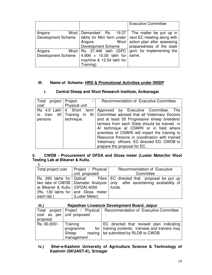|                           |                           | <b>Executive Committee</b>  |
|---------------------------|---------------------------|-----------------------------|
| Wool<br>Angora            | 19.37<br>Demanded<br>Rs.  | The matter be put up in     |
| <b>Development Scheme</b> | lakhs for Mini farm under | next EC meeting along with  |
|                           | Wool<br>Angora            | action plan after assessing |
|                           | <b>Development Scheme</b> | preparedness of the state   |
| Angora                    | Wool Rs. 27.446 lakh (GPC | govt. for implementing the  |
| <b>Development Scheme</b> | 4.906 + 10.00 lakh for    | same.                       |
|                           | machine & 12.54 lakh for  |                             |
|                           | Training)                 |                             |

## **III. Name of Scheme: HRD & Promotional Activities under IWIDP**

## **i. Central Sheep and Wool Research Institute, Avikanagar**.

| Total project Project |                | Recommendation of Executive Committee                                 |  |
|-----------------------|----------------|-----------------------------------------------------------------------|--|
| cost                  | Physical unit  |                                                                       |  |
|                       |                | Rs. 4.0 Lakh   4 Short term   Approved by Executive Committee.<br>The |  |
| to train              | 40 Training in | Al   Committee advised that all Veterinary Doctors                    |  |
| persons               | technique.     | and at least 50 Progressive sheep breeders/                           |  |
|                       |                | farmers from each State should be trained in                          |  |
|                       |                | Al technique at CSWRI or in field where                               |  |
|                       |                | scientists of CSWRI will impart the training to                       |  |
|                       |                | Resource Persons in coordination with trained                         |  |
|                       |                | Veterinary officers. EC directed ED, CWDB to                          |  |
|                       |                | prepare the proposal for EC.                                          |  |

### **ii. CWDB - Procurement of OFDA and Gloss meter (Luster Meter)for Wool Testing Lab at Bikaner & Kullu. i.**

|                                  | Total project cost   Project / Physical | Recommendation of Executive                                                    |
|----------------------------------|-----------------------------------------|--------------------------------------------------------------------------------|
|                                  | unit proposed                           | Committee                                                                      |
|                                  |                                         | Rs. 260 lakhs for   Optical Fibre   EC directed that proposal be put up        |
|                                  |                                         | two labs of CWDB   Diameter Analyzer   only after ascertaining availability of |
| at Bikaner & Kullu   (OFDA)-4000 |                                         | funds.                                                                         |
|                                  | (Rs. 130 lakhs for and Gloss meter      |                                                                                |
| each lab)                        | (Luster Meter)                          |                                                                                |

| iii.)         | Rajasthan Livestock Development Board, Jaipur |                                                    |  |  |
|---------------|-----------------------------------------------|----------------------------------------------------|--|--|
| Total         | project   Project / Physical                  | Recommendation of Executive Committee              |  |  |
| $cost$ as per | unit proposed                                 |                                                    |  |  |
| proposal      |                                               |                                                    |  |  |
| Rs. 60,000/-  | Training                                      | EC directed that revised plan indicating           |  |  |
|               | programme                                     | for   training contents, trainees and trainers may |  |  |
|               | Sheep<br>rearing                              | be submitted by RLDB to CWDB.                      |  |  |
|               | management                                    |                                                    |  |  |

**iv.) Sher-e-Kashmir University of Agriculture Science & Technology of Kashmir (SKUAST-K), Srinagar**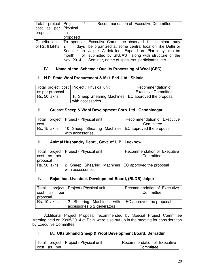| Total project Project |                     | Recommendation of Executive Committee                      |
|-----------------------|---------------------|------------------------------------------------------------|
| $cost$ as per         | Physical            |                                                            |
| proposal              | unit                |                                                            |
|                       | proposed            |                                                            |
| Contribution          |                     | To sponsor Executive Committee observed that seminar may   |
| of Rs. 6 lakhs        | $2^{\circ}$<br>days | be organized at some central location like Delhi or        |
|                       |                     | Seminar in Jaipur. A detailed Expenditure Plan may also be |
|                       | month               | of submitted by SKUAST along with structure of the         |
|                       |                     | Nov., 2014.   Seminar, name of speakers, participants etc. |

## **IV. Name of the Scheme : Quality Processing of Wool (CFC)**

### **i**. **H.P. State Wool Procurement & Mkt. Fed. Ltd., Shimla**

|                 | Total project cost   Project / Physical unit                               | Recommendation of          |
|-----------------|----------------------------------------------------------------------------|----------------------------|
| as per proposal |                                                                            | <b>Executive Committee</b> |
| Rs. 50 lakhs    | 10 Sheep Shearing Machines   EC approved the proposal<br>with accessories. |                            |

## **ii. Gujarat Sheep & Wool Development Corp. Ltd., Gandhinagar**

| Total        | project   Project / Physical unit                     | Recommendation of Executive |
|--------------|-------------------------------------------------------|-----------------------------|
| cost         |                                                       | Committee                   |
| Rs. 15 lakhs | 10 Sheep Shearing Machines   EC approved the proposal |                             |
|              | with accessories.                                     |                             |

## **iii. Animal Husbandry Deptt., Govt. of U.P., Lucknow**

|              | Total project   Project / Physical unit              | Recommendation of Executive |
|--------------|------------------------------------------------------|-----------------------------|
| cost as per  |                                                      | Committee                   |
| proposal     |                                                      |                             |
| Rs. 50 lakhs | 2 Sheep Shearing Machines   EC approved the proposal |                             |
|              | with accessories.                                    |                             |

### **iv. Rajasthan Livestock Development Board, (RLDB) Jaipur**

| Total          | project   Project / Physical unit | Recommendation of Executive |
|----------------|-----------------------------------|-----------------------------|
| cost as<br>per |                                   | Committee                   |
| proposal       |                                   |                             |
| Rs. 10 lakhs   | 2 Shearing Machines with          | EC approved the proposal    |
|                | accessories & 2 generators        |                             |

 Additional Project Proposal recommended by Special Project Committee Meeting held on 23/05/2014 at Delhi were also put up in the meeting for consideration by Executive Committee

## I. IA: **Uttarakhand Sheep & Wool Development Board, Dehradun**

.

|                |  | Total project   Project / Physical unit | Recommendation of Executive |
|----------------|--|-----------------------------------------|-----------------------------|
| cost as<br>per |  |                                         | Committee                   |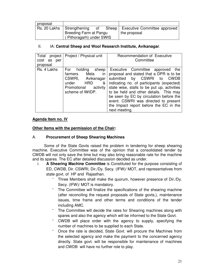| proposal     |                          |    |                                      |
|--------------|--------------------------|----|--------------------------------------|
| Rs. 20 Lakhs | Strengthening            | ot | Sheep   Executive Committee approved |
|              | Breeding Farm at Pangu   |    | the proposal                         |
|              | (Pithoragarh) under SWIS |    |                                      |

## II. IA: **Central Sheep and Wool Research Institute, Avikanagar**.

| Total<br>project<br>cost as<br>per<br>proposal | Project / Physical unit                                                                                                              | Recommendation of Executive<br>Committee                                                                                                                                                                                                                                                                                                                                                         |
|------------------------------------------------|--------------------------------------------------------------------------------------------------------------------------------------|--------------------------------------------------------------------------------------------------------------------------------------------------------------------------------------------------------------------------------------------------------------------------------------------------------------------------------------------------------------------------------------------------|
| Rs. 4 Lakhs                                    | For holding<br>sheep $ $<br>farmers Mela<br>in<br>CSWRI, Avikanagar<br>HRD<br>&<br>under<br>Promotional activity<br>scheme of IWIDP. | Executive Committee approved<br>the<br>proposal and stated that a DPR is to be<br>submitted by CSWRI to CWDB<br>indicating no. of participants (expected)<br>state wise, stalls to be put up, activities<br>to be held and other details. This may<br>be seen by EC by circulation before the<br>event. CSWRI was directed to present<br>the Impact report before the EC in the<br>next meeting. |

## **Agenda Item no. IV**

## **Other Items with the permission of the Chair:**

## A. **Procurement of Sheep Shearing Machines**

 Some of the State Govts raised the problem in tendering for sheep shearing machine. Executive Committee was of the opinion that a consolidated tender by CWDB will not only save the time but may also bring reasonable rate for the machine and its spares. The EC after detailed discussion decided as under.

- i. **A Shearing Machine Committee** is Constituted for the purpose consisting of ED, CWDB, Dir. CSWRI, Dir./Dy. Secy. (IFW)/ MOT, and representatives from state govt. of HP and Rajasthan.
	- Three Members shall make the quorum, however presence of Dir./Dy. Secy. (IFW)/ MOT is mandatory.
	- The Committee will finalize the specifications of the shearing machine (after reconciling the request proposals of State govts,), maintenance issues, time frame and other terms and conditions of the tender including AMC.
	- The Committee will decide the rates for Shearing machines along with spares and also the agency which will be informed to the State Govt.
	- CWDB will place order with the agency to supply, specifying the number of machines to be supplied to each State.
	- Once the rate is decided, State Govt. will procure the Machines from the selected agency and make the payment to the concerned agency directly. State govt. will be responsible for maintenance of machines and CWDB will have no further role to play.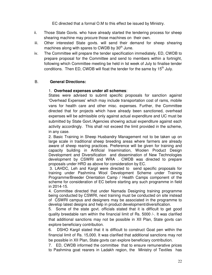EC directed that a formal O.M to this effect be issued by Ministry.

- ii. Those State Govts. who have already started the tendering process for sheep shearing machine may procure those machines on their own.
- iii. Other interested State govts. will send their demand for sheep shearing machines along with spares to CWDB by  $30<sup>th</sup>$  June.
- iv. The Committee will prepare the tender specification immediately, ED, CWDB to prepare proposal for the Committee and send to members within a fortnight, following which Committee meeting be held in Ist week of July to finalise tender conditions. Then ED, CWDB will float the tender for the same by  $15<sup>th</sup>$  July.

## B. **General Directions:**

## 1. **Overhead expenses under all schemes**:

States were advised to submit specific proposals for sanction against 'Overhead Expenses' which may include transportation cost of rams, mobile vans for health care and other misc. expenses. Further, the Committee directed that for projects which have already been sanctioned, overhead expenses will be admissible only against actual expenditure and UC must be submitted by State Govt./Agencies showing actual expenditure against each activity accordingly. This shall not exceed the limit provided in the scheme, in any case.

2. Basic Training in Sheep Husbandry Management not to be taken up on large scale in traditional sheep breeding areas where farmers are already aware of sheep rearing practices. Preference will be given for training and capacity building in Artificial Insemination, Woolen Product Design Development and Diversification and dissemination of New Technologies development by CSWRI and WRA . CWDB was directed to prepare proposals under HRD as above for consideration by EC.

 3. LAHDC, Leh and Kargil were directed to send specific proposals for training under Pashmina Wool Development Scheme under Training Programme/Breeder Orientation Camp / Health Camps component of the scheme for consideration of EC before starting any such programme in field in 2014-15.

4. Committee directed that under Namada Designing training programme being conducted by CSWRI, next training must be conducted on site instead of CSWRI campus and designers may be associated in the programme to develop latest designs and help in product development/diversification.

5. Some of the state govt. officials stated that it is difficult to get good quality breedable ram within the financial limit of Rs. 5000 /-. It was clarified that additional sanctions may not be possible in XII Plan, State govts can explore beneficiary contribution.

6. DSHO Kargil stated that it is difficult to construct Goat pen within the financial limit of Rs. 15,000. It was clarified that additional sanctions may not be possible in XII Plan, State govts can explore beneficiary contribution.

7. ED, CWDB informed the committee that to ensure remunerative prices to Pashmina goat rearers in Ladakh region, the Ministry of Textiles has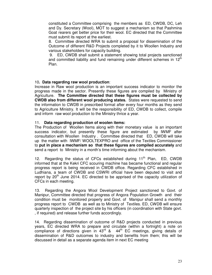constituted a Committee comprising the members as ED, CWDB, DC, Leh and Dy. Secretary (Wool), MOT to suggest a mechanism so that Pashmina Goat rearers get better price for their wool. EC directed that the Committee must submit its report at the earliest.

8. Committee directed WRA to submit a proposal for dissemination of the Outcome of different R&D Projects completed by it to Woollen Industry and various stakeholders for capacity building.

 9. ED, CWDB shall submit a statement showing total projects sanctioned and committed liability and fund remaining under different schemes in  $12^{\text{th}}$ Plan.

### 10**. Data regarding raw wool production**:

Increase in Raw wool production is an important success indicator to monitor the progress made in the sector. Presently these figures are compiled by Ministry of Agriculture. **The Committee directed that these figures must be collected by CWDB also from different wool producing states.** States were requested to send the information to CWDB in prescribed format after every four months as they send to Agriculture Ministry. It will be the responsibility of ED, CWDB to collect, compile and inform raw wool production to the Ministry thrice a year.

### 11. **Data regarding production of woolen items:**

The Production of Woollen Items along with their monetary value is an important success indicator, but presently these figure are estimated by IWMF after consultation with Woollen Industry . Committee directed that ED, CWDB will take up the matter with IWMF/ WOOLTEXPRO and office of the Textiles Commissioner to **put in place a mechanism so that these figures are compiled accurately** and send a report to Ministry in a month's time informing about the mechanism.

12. Regarding the status of CFCs established during  $11<sup>th</sup>$  Plan, ED, CWDB informed that at the Kekri CFC scouring machine has became functional and regular progress report is being received in CWDB office. Regarding CFC established in Ludhiana, a team of CWDB and CSWRI official have been deputed to visit and report by  $20<sup>th</sup>$  June 2014. EC directed to be apprised of the capacity utilization of CFCs in each meeting.

13. Regarding the Angora Wool Development Project sanctioned to Govt. of Manipur, Committee directed that progress of Angora Population Growth and their condition must be monitored properly and Govt. of Manipur shall send a monthly progress report to CWDB as well as to Ministry of Textiles. ED, CWDB will ensure quarterly inspection of the project site by his officers (in coordination with State govt. , if required) and release further funds accordingly.

 14. Regarding dissemination of outcome of R&D projects conducted in previous years, EC directed WRA to prepare and circulate (within a fortnight) a note on compliance of directions given in  $43^{\text{rd}}$  &  $44^{\text{th}}$  EC meetings, giving details of dissemination of R&D outcomes to industry and benefits from them; this will be discussed in detail as a separate agenda item in next EC meeting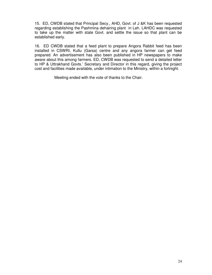15. ED, CWDB stated that Principal Secy., AHD, Govt. of J &K has been requested regarding establishing the Pashmina dehairing plant in Leh. LAHDC was requested to take up the matter with state Govt. and settle the issue so that plant can be established early.

16. ED CWDB stated that a feed plant to prepare Angora Rabbit feed has been installed in CSWRI, Kullu (Garsa) centre and any angora farmer can get feed prepared. An advertisement has also been published in HP newspapers to make aware about this among farmers. ED, CWDB was requested to send a detailed letter to HP & Uttrakhand Govts.' Secretary and Director in this regard, giving the project cost and facilities made available, under intimation to the Ministry, within a fortnight.

Meeting ended with the vote of thanks to the Chair.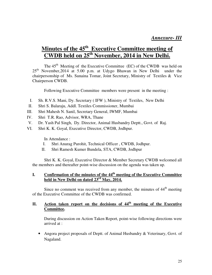## **Minutes of the 45th Executive Committee meeting of CWDB held on 25th November, 2014 in New Delhi.**

The  $45<sup>th</sup>$  Meeting of the Executive Committee (EC) of the CWDB was held on  $25<sup>th</sup>$  November, 2014 at 5.00 p.m. at Udygo Bhawan in New Delhi under the chairpersonship of Ms. Sunaina Tomar, Joint Secretary, Ministry of Textiles & Vice Chairperson CWDB.

Following Executive Committee members were present in the meeting :

- I. Sh. R.V.S. Mani, Dy. Secretary ( IFW ), Ministry of Textiles, New Delhi
- II. Shri S. Balaraju, Addl. Textiles Commissioner, Mumbai
- III. Shri Mahesh N. Sanil, Secretary General, IWMF, Mumbai
- IV. Shri T.R. Rao, Advisor, WRA, Thane
- V. Dr. Yash Pal Singh, Dy. Director, Animal Husbandry Deptt., Govt. of Raj.
- VI. Shri K. K. Goyal, Executive Director, CWDB, Jodhpur.

In Attendance :

- I. Shri Anurag Purohit, Technical Officer , CWDB, Jodhpur.
- II. Shri Ramesh Kumer Bundela, STA, CWDB, Jodhpur

Shri K. K. Goyal, Executive Director & Member Secretary CWDB welcomed all the members and thereafter point-wise discussion on the agenda was taken up.

## **I. Confirmation of the minutes of the 44th meeting of the Executive Committee held in New Delhi on dated 23rd May, 2014.**

Since no comment was received from any member, the minutes of  $44<sup>th</sup>$  meeting of the Executive Committee of the CWDB was confirmed.

## **II. Action taken report on the decisions of 44th meeting of the Executive Committee.**

During discussion on Action Taken Report, point-wise following directions were arrived at :

• Angora project proposals of Deptt. of Animal Husbandry & Veterinary, Govt. of Nagaland.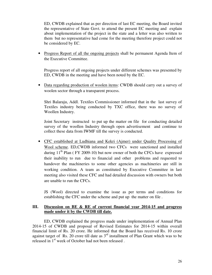ED, CWDB explained that as per direction of last EC meeting, the Board invited the representative of State Govt. to attend the present EC meeting and explain about implementation of the project in the state and a letter was also written to them but no representative had come for the meeting therefore project could not be considered by EC.

• Progress Report of all the ongoing projects shall be permanent Agenda Item of the Executive Committee.

Progress report of all ongoing projects under different schemes was presented by ED, CWDB in the meeting and have been noted by the EC.

• Data regarding production of woolen items: CWDB should carry out a survey of woolen sector through a transparent process.

Shri Balaraju, Addl. Textiles Commissioner informed that in the last survey of Textiles industry being conducted by TXC office, there was no survey of Woollen Industry.

Joint Secretary instructed to put up the matter on file for conducting detailed survey of the woollen Industry through open advertisement and continue to collect these data from IWMF till the survey is conducted.

• CFC established at Ludhiana and Kekri (Ajmer) under Quality Processing of Wool scheme. ED,CWDB informed two CFCs were sanctioned and installed during  $11<sup>th</sup>$  Plan (FY 2009-10) but now owner of both the CFCs have expressed their inability to run due to financial and other problems and requested to handover the machineries to some other agencies as machineries are still in working condition. A team as constituted by Executive Committee in last meeting also visited these CFC and had detailed discussion with owners but both are unable to run the CFCs.

JS (Wool) directed to examine the issue as per terms and conditions for establishing the CFC under the scheme and put up the matter on file .

## **III. Discussion on BE & RE of current financial year 2014-15 and progress made under it by the CWDB till date.**

ED, CWDB explained the progress made under implementation of Annual Plan 2014-15 of CWDB and proposal of Revised Estimates for 2014-15 within overall financial limit of Rs. 20 crore. He informed that the Board has received Rs. 10 crore against target of Rs. 20 crore till date as  $3<sup>rd</sup>$  installment of Plan Grant which was to be released in 1<sup>st</sup> week of October had not been released.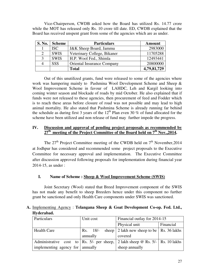Vice-Chairperson, CWDB asked how the Board has utilized Rs. 14.77 crore while the MOT has released only Rs. 10 crore till date. ED, CWDB explained that the Board has received unspent grant from some of the agencies which are as under.

| <b>S. No.</b> | <b>Scheme</b> | <b>Particulars</b>                | <b>Amount</b> |
|---------------|---------------|-----------------------------------|---------------|
|               | <b>ISC</b>    | <b>J&amp;K</b> Sheep Board, Jammu | 2983000       |
| 2             | <b>SWIS</b>   | Veterinary College, Bikaner       | 11705288      |
|               | <b>SWIS</b>   | H.P. Wool Fed., Shimla            | 12493441      |
|               | <b>SSS</b>    | <b>Oriental Insurance Company</b> | 20800000      |
|               |               | Total                             | 4,79,81,729   |

 Out of this unutilized grants, fund were released to some of the agencies where work was hampering mainly to Pashmina Wool Development Scheme and Sheep & Wool Improvement Scheme in favour of LAHDC, Leh and Kargil looking into coming winter season and blockade of roads by mid October. He also explained that if funds were not released to these agencies, then procurement of feed and Fodder which is to reach these areas before closure of road was not possible and may lead to high animal mortality. He also stated that Pashmina Scheme is already running far behind the schedule as during first 3 years of the  $12<sup>th</sup>$  Plan even 30 % of fund allocated for the scheme have been utilized and non release of fund may further impede the progress.

## **IV. Discussion and approval of pending project proposals as recommended by 27th meeting of the Project Committee of the Board held on 7th Nov.,2014.**

The  $27<sup>th</sup>$  Project Committee meeting of the CWDB held on  $7<sup>th</sup>$  November, 2014 at Jodhpur has considered and recommended some project proposals to the Executive Committee for necessary approval and implementation. The Executive Committee after discussion approved following proposals for implementation during financial year 2014-15, as under :

## **I. Name of Scheme : Sheep & Wool Improvement Scheme (SWIS)**

 Joint Secretary (Wool) stated that Breed Improvement component of the SWIS has not made any benefit to sheep Breeders hence under this component no further grant be sanctioned and only Health Care components under SWIS was sanctioned.

## **A.** Implementing Agency : **Telangana Sheep & Goat Development Co-op. Fed. Ltd., Hyderabad.**

| Particulars                                                                     | Unit cost | Financial outlay for 2014-15                  |  |
|---------------------------------------------------------------------------------|-----------|-----------------------------------------------|--|
|                                                                                 |           | Physical unit<br>Financial                    |  |
| <b>Health Care</b>                                                              | Rs. 18/   | sheep   2 lakh new sheep to be   Rs. 36 lakhs |  |
|                                                                                 | annually  | covered                                       |  |
| Administrative cost to Rs. 5/- per sheep, 2 lakh sheep @ Rs. 5/-   Rs. 10 lakhs |           |                                               |  |
| implementing agency for $\vert$ annually                                        |           | sheep annually                                |  |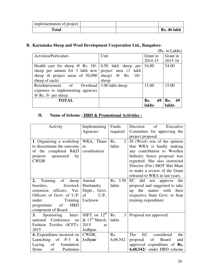| implementation of project |  |                    |
|---------------------------|--|--------------------|
| Total                     |  | <b>Rs. 46 lakh</b> |

## **B. Karnataka Sheep and Wool Development Corporation Ltd., Bangalore-**

|                                                             |                          |           | (Rs. in Lakhs) |
|-------------------------------------------------------------|--------------------------|-----------|----------------|
| <b>Actvities/Particulars</b>                                | Unit                     | Grant in  | Grant in       |
|                                                             |                          | 2014-15   | 2015-16        |
| Health care for sheep $\omega$ Rs. 18/- 0.50 lakh sheep per |                          | 54.00     | 54.00          |
| sheep per annum for $3$ lakh new                            | project area (3)<br>lakh |           |                |
| sheep (6 project areas of $50,000$ )                        | sheep) $\omega$ Rs. 18/- |           |                |
| sheep of each)                                              | sheep                    |           |                |
| Reimbursement of<br>Overhead                                | 3.00 lakh sheep          | 15.00     | 15.00          |
| expenses to implementing agencies                           |                          |           |                |
| $\omega$ Rs. 5/- per sheep                                  |                          |           |                |
| <b>TOTAL</b>                                                |                          | 69<br>Rs. | -69<br>Rs.     |
|                                                             |                          | lakhs     | lakhs          |

## **II. Name of Scheme : HRD & Promotional Activities :**

| Activity                          | Implementing                 | Funds                 | Decision<br>of<br>Executive    |
|-----------------------------------|------------------------------|-----------------------|--------------------------------|
|                                   | Agencies                     | required              | Committee for approving the    |
|                                   |                              |                       | project proposal               |
| 1. Organizing a workshop          | WRA, Thane                   | Rs.<br>$\overline{2}$ | JS (Wool) was of the opinion   |
| to disseminate the outcome        | in                           | lakhs                 | that WRA is hardly making      |
| of the completed R&D              | coordination                 |                       | any contribution to Woollen    |
| projects sponsored<br>by          |                              |                       | Industry hence proposal was    |
| <b>CWDB</b>                       |                              |                       | regretted. She also instructed |
|                                   |                              |                       | Director (Fin.) MOT Shri Mani  |
|                                   |                              |                       | to make a review of the Grant  |
|                                   |                              |                       | released to WRA in last years. |
| of sheep<br>2.<br>Training        | Animal                       | Rs. 3.50              | EC did<br>not approve<br>the   |
| livestock<br>breeders,            | Husbandry                    | lakhs                 | proposal and suggested to take |
| extension officers, Vet.          | Deptt., Govt.                |                       | the matter with their<br>up    |
| Officers of Govt. of U.P.         | of<br>U.P.,                  |                       | respective State Govt. to bear |
| under<br>Training                 | Lucknow                      |                       | training expenditure.          |
| <b>HRD</b><br>of<br>programme     |                              |                       |                                |
| component of Board.               |                              |                       |                                |
| Sponsoring Inter-<br><b>3.</b>    | NIFT on $12^{\text{th}}$     | Rs.<br>3 <sup>1</sup> | Proposal not approved.         |
| national Conference<br>on         | $\&$ 13 <sup>th</sup> March, | lakhs                 |                                |
| Fashion Textiles (ICFT)-          | 2015<br>at                   |                       |                                |
| 2015                              | Jodhpur.                     |                       |                                |
| <b>4.</b> Expenditure incurred on | CWDB,                        | Rs.                   | EC<br>considered<br>The<br>the |
| Launching of P-3 $\&$             | Jodhpur                      | 6,68,542              | Board<br>of<br>proposal<br>and |
| Laying<br>of<br>foundation        |                              |                       | approved expenditure of Rs.    |
| of<br>Stone<br>Pashmina           |                              |                       | $6,68,542/$ - under HRD scheme |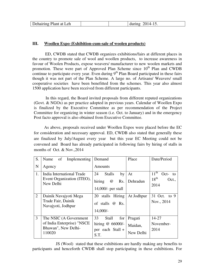| Dehairing Plant at Leh |  |  | า∩ 1<br>,,,,,,,,<br>uunn<br>$\overline{ }$ |
|------------------------|--|--|--------------------------------------------|
|------------------------|--|--|--------------------------------------------|

## **III. Woollen Expo (Exhibition-cum-sale of woolen products)**

 ED, CWDB stated that CWDB organizes exhibitions/fairs at different places in the country to promote sale of wool and woollen products, to increase awareness in favour of Woolen Products, expose weavers/ manufacturer to new woolen markets and promotion. These were part of Approved Plan Scheme since 10<sup>th</sup> Plan and CWDB continue to participate every year. Even during  $9<sup>th</sup>$  Plan Board participated in these fairs though it was not part of the Plan Scheme. A large no. of Artisans/ Weavers/ small cooperative societies have been benefitted from the schemes. This year also almost 1500 application have been received from different participants.

In this regard, the Board invited proposals from different reputed organizations (Govt. & NGOs) as per practice adopted in previous years. Calendar of Woollen Expo is finalized by the Executive Committee as per recommendation of the Project Committee for organizing in winter season (i.e. Oct. to January) and in the emergency Post facto approval is also obtained from Executive Committee.

 As above, proposals received under Woollen Expos were placed before the EC for consideration and necessary approval. ED, CWDB also stated that generally these are finalized by July/August every year but this year EC Meeting could not be convened and Board has already participated in following fairs by hiring of stalls in months of Oct. & Nov.,2014

| S.             | of<br>Name<br>Implementing                                                            | Demand                                                                     | Place                           | Date/Period                                            |
|----------------|---------------------------------------------------------------------------------------|----------------------------------------------------------------------------|---------------------------------|--------------------------------------------------------|
| N              | Agency                                                                                | <b>Amounts</b>                                                             |                                 |                                                        |
| 1.             | India International Trade<br>Event Organization (ITEO),                               | <b>Stalls</b><br>24<br>by<br>hiring<br>Rs.<br>$^{\copyright}$              | At<br>Dehradun                  | $11^{\text{th}}$<br>$Oct-$<br>to<br>$18^{th}$<br>Oct., |
|                | New Delhi                                                                             | 14,000/- per stall                                                         |                                 | 2014                                                   |
| $\overline{2}$ | Dainik Navajyoti Mega<br>Trade Fair, Dainik<br>Navajyoti, Jodhpur                     | stalls Hiring<br>20<br>of stalls $\omega$ Rs.<br>$14,000/-$                | At Jodhpur                      | 31 Oct. to 9<br>Nov., 2014                             |
| 3              | The NSIC (A Government<br>of India Enterprise) "NSCE<br>Bhawan", New Delhi-<br>110020 | 33<br><b>Stall</b><br>for<br>hiring $@66000$ .<br>per each Stall +<br>S.T. | Pragati<br>Maidan,<br>New Delhi | 14-27<br>November-<br>2014                             |

 JS (Wool) stated that these exhibitions are hardly making any benefits to participants and henceforth CWDB shall stop participating in these exhibitions. For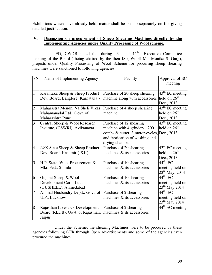Exhibitions which have already held, matter shall be put up separately on file giving detailed justification.

## **V. Discussion on procurement of Sheep Shearing Machines directly by the Implementing Agencies under Quality Processing of Wool scheme.**

ED, CWDB stated that during  $43<sup>rd</sup>$  and  $44<sup>th</sup>$  Executive Committee meeting of the Board ( being chaired by the then JS ( Wool) Ms. Monika S. Garg), projects under Quality Processing of Wool Scheme for procuring sheep shearing machines were sanctioned to following agencies.

| SN             | Name of Implementing Agency                    | Facility                                   | Approval of EC              |
|----------------|------------------------------------------------|--------------------------------------------|-----------------------------|
|                |                                                |                                            | meeting                     |
|                |                                                |                                            |                             |
| $\mathbf{1}$   | Karantaka Sheep & Sheep Product                | Purchase of 20 sheep shearing              | $43^{\text{rd}}$ EC meeting |
|                | Dev. Board, Banglore (Karnataka.)              | machine along with accessories             | held on $26th$              |
|                |                                                |                                            | Dec., 2013                  |
| $\overline{2}$ | Maharastra Mendhi Va Sheli Vikas               | Purchase of 4 sheep shearing               | $43^{\text{rd}}$ EC meeting |
|                | Mahamanadal Ltd., Govt. of                     | machine                                    | held on $26th$              |
|                | Maharashtra Pune                               |                                            | Dec., 2013                  |
| 3              | Central Sheep & Wool Research                  | Purchase of 12 shearing                    | $43rd$ EC meeting           |
|                | Institute, (CSWRI), Avikanagar                 | machine with 4 grinders, 200               | held on $26th$              |
|                |                                                | combs & cutter, 3 motor-cycles, Dec., 2013 |                             |
|                |                                                | and fabrication of washing and             |                             |
|                |                                                | drying chamber                             |                             |
| $\overline{4}$ | <b>J&amp;K State Sheep &amp; Sheep Product</b> | Purchase of 20 shearing                    | $43^{\text{rd}}$ EC meeting |
|                | Dev. Board, Kashmir (J&K)                      | machines & its accessories                 | held on $26th$              |
|                |                                                |                                            | Dec., 2013                  |
| 5              | H.P. State Wool Procurement &                  | Purchase of 10 shearing                    | $44^{\text{th}}$ EC         |
|                | Mkt. Fed., Shimla                              | machines & its accessories                 | meeting held on             |
|                |                                                |                                            | $23^{\text{rd}}$ May, 2014  |
| 6              | Gujarat Sheep & Wool                           | Purchase of 10 shearing                    | $44^{\text{th}}$ EC         |
|                | Development Corp. Ltd.,                        | machines & its accessories                 | meeting held on             |
|                | (GUSHEEL), Ahmedabad                           |                                            | $23rd$ May 2014             |
| $\overline{7}$ | Animal Husbandry Deptt., Govt. of              | Purchase of 2 shearing                     | $44^{\text{th}}$ EC         |
|                | U.P., Lucknow                                  | machines & its accessories                 | meeting held on             |
|                |                                                |                                            | $23^{\text{rd}}$ May 2014   |
| 8              | Rajasthan Livestock Development                | Purchase of 2 shearing                     | 44 <sup>th</sup> EC meeting |
|                | Board (RLDB), Govt. of Rajasthan,              | machines & its accessories                 |                             |
|                | Jaipur                                         |                                            |                             |

 Under the Scheme, the shearing Machines were to be procured by these agencies following GFR through Open advertisements and some of the agencies even procured the machines.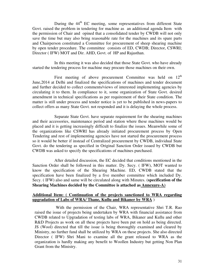During the  $44<sup>th</sup>$  EC meeting, some representatives from different State Govt. raised the problem in tendering for machine as an additional agenda Item with the permission of Chair and opined that a consolidated tender by CWDB will not only save the time but may also bring reasonable rate for the machines and its spare parts and Chairperson constituted a Committee for procurement of sheep shearing machine by open tender procedure. The committee consists of ED, CWDB; Director, CSWRI; Director ( IFW) MOT and Dir. AHD, Govt. of HP and Rajasthan.

 In this meeting it was also decided that those State Govt. who have already started the tendering process for machine may procure those machines on their own.

First meeting of above procurement Committee was held on  $12<sup>th</sup>$ June,2014 at Delhi and finalized the specifications of machines and tender document and further decided to collect comments/views of interested implementing agencies by circulating it to them. In compliance to it, some organization of State Govt. desired amendment in technical specifications as per requirement of their State condition. The matter is still under process and tender notice is yet to be published in news-papers to collect offers as many State Govt. not responded and it is delaying the whole process.

 Separate State Govt. have separate requirement for the shearing machines and their accessories, maintenance period and station where these machines would be placed and it is getting increasingly difficult to finalize the issues. Meanwhile some of the organizations like CSWRI has already initiated procurement process by Open Tendering and rest of implementing agencies have not started the procurement process so it would be better if instead of Centralized procurement by CWDB, individual State Govt. do the tendering as specified in Original Sanction Order issued by CWDB but CWDB was asked to specify the specifications of machines purchased.

 After detailed discussion, the EC decided that conditions mentioned in the Sanction Order shall be followed in this matter. Dy. Secy. ( IFW), MOT wanted to know the specification of the Shearing Machine. ED, CWDB stated that the specification have been finalized by a five member committee which included Dy. Secy. ( IFW) also and same will be circulated along with Minutes. (**specification of the Shearing Machines decided by the Committee is attached as Annexure-A)**

### **Additional Item: ( Continuation of the projects sanctioned to WRA regarding upgradation of Labs of WRA/ Thane, Kullu and Bikaner by WRA** )

 With the permission of the Chair, WRA representative Shri T.R. Rao raised the issue of projects being undertaken by WRA with financial assistance from CWDB related to Upgradation of testing labs of WRA, Bikaner and Kullu and other R&D Projects as work on all these projects have been put on hold as being directed. JS (Wool) directed that till the issue is being thoroughly examined and cleared by Ministry, no further fund shall be utilized by WRA on these projects. She also directed Director ( IFW) Shri Mani to examine all the grant released to WRA as the organization is hardly making any benefit to Woollen Industry but getting Non Plan Grant from the Ministry.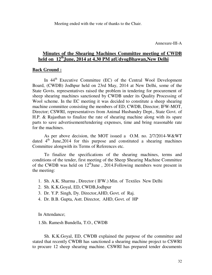Meeting ended with the vote of thanks to the Chair.

Annexure-III-A

## **Minutes of the Shearing Machines Committee meeting of CWDB held on 12thJune, 2014 at 4.30 PM atUdyogBhawan,New Delhi**

### **Back Ground :**

In 44<sup>th</sup> Executive Committee (EC) of the Central Wool Development Board, (CWDB) Jodhpur held on 23rd May, 2014 at New Delhi, some of the State Govts. representatives raised the problem in tendering for procurement of sheep shearing machines sanctioned by CWDB under its Quality Processing of Wool scheme. In the EC meeting it was decided to constitute a sheep shearing machine committee consisting the members of ED; CWDB, Director; IFW-MOT, Director; CSWRI, representatives from Animal Husbandry Dept., State Govt. of H.P. & Rajasthan to finalize the rate of shearing machine along with its spare parts to save advertisement/tendering expenses, time and bring reasonable rate for the machines.

 As per above decision, the MOT issued a O.M. no. 2/7/2014-W&WT dated  $4<sup>th</sup>$  June, 2014 for this purpose and constituted a shearing machines Committee alongwith its Terms of References etc.

 To finalize the specifications of the shearing machines, terms and conditions of the tender, first meeting of the Sheep Shearing Machine Committee of the CWDB was held on  $12^{\text{th}}$ June, 2014.Following members were present in the meeting:

- 1. Sh. A.K. Sharma , Director ( IFW.) Min. of Textiles New Delhi
- 2. Sh. K.K.Goyal, ED, CWDB,Jodhpur
- 3. Dr. Y.P. Singh, Dy. Director,AHD, Govt. of Raj.
- 4. Dr. B.B. Gupta, Astt. Director, AHD, Govt. of HP

In Attendance;

1.Sh. Ramesh Bundella, T.O., CWDB

 Sh. K.K.Goyal, ED, CWDB explained the purpose of the committee and stated that recently CWDB has sanctioned a shearing machine project to CSWRI to procure 12 sheep shearing machine. CSWRI has prepared tender documents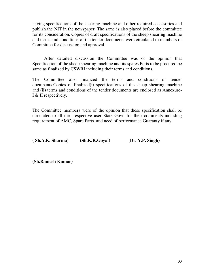having specifications of the shearing machine and other required accessories and publish the NIT in the newspaper. The same is also placed before the committee for its consideration. Copies of draft specifications of the sheep shearing machine and terms and conditions of the tender documents were circulated to members of Committee for discussion and approval.

 After detailed discussion the Committee was of the opinion that Specification of the sheep shearing machine and its spares Parts to be procured be same as finalized by CSWRI including their terms and conditions.

The Committee also finalized the terms and conditions of tender documents.Copies of finalized(i) specifications of the sheep shearing machine and (ii) terms and conditions of the tender documents are enclosed as Annexure-I & II respectively.

The Committee members were of the opinion that these specification shall be circulated to all the respective user State Govt. for their comments including requirement of AMC, Spare Parts and need of performance Guaranty if any.

| (Sh.A.K. <i>Sharma</i> ) | (Sh.K.K.Goyal) | (Dr. Y.P. Singh) |
|--------------------------|----------------|------------------|
|                          |                |                  |

**(Sh.Ramesh Kumar)**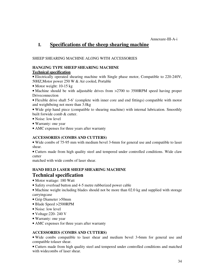### Annexure-III-A-i

## **I. Specifications of the sheep shearing machine**

### SHEEP SHEARING MACHINE ALONG WITH ACCESSORIES

## **HANGING TYPE SHEEP SHEARING MACHINE**

### **Technical specification**

• Electrically operated shearing machine with Single phase motor, Compatible to 220-240V, 50HZ,Motor power 250 W & Air cooled, Portable

• Motor weight: 10-15 kg

• Machine should be with adjustable drives from >2700 to 3500RPM speed having proper Driveconnection

• Flexible drive shaft 5-6' (complete with inner core and end fittings) compatible with motor and weightbeing not more than 3.0kg

• Wide grip hand piece (compatible to shearing machine) with internal lubrication. Smoothly built forwide comb & cutter.

- Noise: low level
- Warranty: one year
- AMC expenses for three years after warranty

## **ACCESSORIES (COMBS AND CUTTERS)**

• Wide combs of 75-95 mm with medium bevel 3-6mm for general use and compatible to laser shear.

• Cutters made from high quality steel and tempered under controlled conditions. Wide claw cutter

matched with wide combs of laser shear.

## **HAND HELD LASER SHEEP SHEARING MACHINE Technical specification**

- Motor wattage: 180 Watt
- Safety overload button and 4-5 metre rubberized power cable
- Machine weight including blades should not be more than 02.0 kg and supplied with storage carryingcase
- Grip Diameter >50mm
- Blade Speed >2500RPM
- Noise: low level
- Voltage:220- 240 V
- Warranty: one year
- AMC expenses for three years after warranty

### **ACCESSORIES (COMBS AND CUTTERS)**

• Wide combs compatible to laser shear and medium bevel 3-6mm for general use and compatible tolaser shear.

• Cutters made from high quality steel and tempered under controlled conditions and matched with widecombs of laser shear.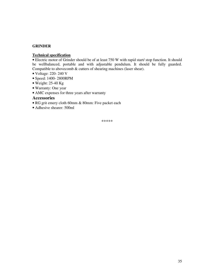## **GRINDER**

### **Technical specification**

• Electric motor of Grinder should be of at least 750 W with rapid start/ stop function. It should be wellbalanced, portable and with adjustable pendulum. It should be fully guarded. Compatible to abovecomb & cutters of shearing machines (laser shear).

- Voltage: 220- 240 V
- Speed: 1400- 2800RPM
- Weight:  $25-40$  Kg
- Warranty: One year
- AMC expenses for three years after warranty

## **Accessories**

- RG grit emery cloth 60mm & 80mm: Five packet each
- Adhesive shearer: 500ml

\*\*\*\*\*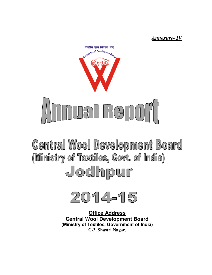*Annexure Annexure- IV*



**Central Wool Development Board** (Ministry of Textiles, Govt. of India) Jodhpur



**Central Wool Development Board (Ministry of Textiles, Government of India) Office Address C-3, Shastri Nagar,**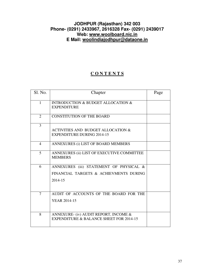## **JODHPUR (Rajasthan) 342 003 Phone- (0291) 2433967, 2616328 Fax- (0291) 2439017 Web: www.woolboard.nic.in E Mail: woolindiajodhpur@dataone.in**

## **C O N T E N T S**

| Sl. No.        | Chapter                                                                                      | Page |
|----------------|----------------------------------------------------------------------------------------------|------|
| $\mathbf{1}$   | <b>INTRODUCTION &amp; BUDGET ALLOCATION &amp;</b><br><b>EXPENDITURE</b>                      |      |
| $\overline{2}$ | <b>CONSTITUTION OF THE BOARD</b>                                                             |      |
| $\overline{3}$ | ACTIVITIES AND BUDGET ALLOCATION &<br><b>EXPENDITURE DURING 2014-15</b>                      |      |
| $\overline{4}$ | ANNEXURES (i) LIST OF BOARD MEMBERS                                                          |      |
| 5              | ANNEXURES (ii) LIST OF EXECUTIVE COMMITTEE<br><b>MEMBERS</b>                                 |      |
| 6              | ANNEXURES (iii) STATEMENT OF PHYSICAL &<br>FINANCIAL TARGETS & ACHIEVMENTS DURING<br>2014-15 |      |
| $\tau$         | AUDIT OF ACCOUNTS OF THE BOARD FOR THE<br><b>YEAR 2014-15</b>                                |      |
| 8              | ANNEXURE- (iv) AUDIT REPORT, INCOME &<br>EXPENDITURE & BALANCE SHEET FOR 2014-15             |      |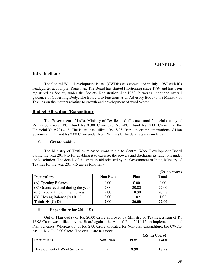## CHAPTER - 1

## **Introduction :**

 The Central Wool Development Board (CWDB) was constituted in July, 1987 with it's headquarter at Jodhpur, Rajasthan. The Board has started functioning since 1989 and has been registered as Society under the Society Registration Act 1958. It works under the overall guidance of Governing Body. The Board also functions as an Advisory Body to the Ministry of Textiles on the matters relating to growth and development of wool Sector.

### **Budget Allocation /Expenditure**

The Government of India, Ministry of Textiles had allocated total financial out lay of Rs. 22.00 Crore (Plan fund Rs.20.00 Crore and Non-Plan fund Rs. 2.00 Crore) for the Financial Year 2014-15. The Board has utilized Rs 18.98 Crore under implementations of Plan Scheme and utilized Rs 2.00 Crore under Non Plan head. The details are as under: -

### **i) Grant-in-aid: -**

The Ministry of Textiles released grant-in-aid to Central Wool Development Board during the year 2014-15 for enabling it to exercise the powers and discharge its functions under the Resolution. The details of the grant-in-aid released by the Government of India, Ministry of Textiles for the year 2014-15 are as follows: -

|                                     |                 |       | (Rs. in crore) |
|-------------------------------------|-----------------|-------|----------------|
| Particulars                         | <b>Non Plan</b> | Plan  | <b>Total</b>   |
| (A) Opening Balance                 | 0.00            | 0.00  | 0.00           |
| (B) Grants received during the year | 2.00            | 20.00 | 22.00          |
| $(C)$ Expenditure during the year   | 2.00            | 18.98 | 20.98          |
| (D) Closing Balance $[A+B-C]$       | 0.00            | 1.02  | 1.02           |
| Total: $\rightarrow$ {C+D}          | 2.00            | 20.00 | 22.00          |

### **ii) Expenditure for 2014-15 : -**

Out of Plan outlay of Rs. 20.00 Crore approved by Ministry of Textiles, a sum of Rs 18.98 Crore was utilized by the Board against the Annual Plan 2014-15 on implementation of Plan Schemes. Whereas out of Rs. 2.00 Crore allocated for Non-plan expenditure, the CWDB has utilized Rs 2.00 Crore. The details are as under:

| (Rs. in Crore)               |                 |       |       |  |
|------------------------------|-----------------|-------|-------|--|
| <b>Particulars</b>           | <b>Non Plan</b> | Plan  | Total |  |
| Development of Wool Sector – | -               | 18.98 | 8.98  |  |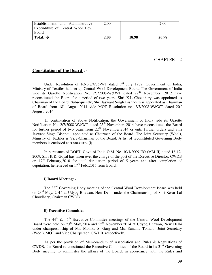| <b>Establishment</b> and Administrative | 2.00 |       | 2.00  |
|-----------------------------------------|------|-------|-------|
| Expenditure of Central Wool Dev.        |      |       |       |
| Board                                   |      |       |       |
| Total: $\rightarrow$                    | 2.00 | 18.98 | 20.98 |

### $CHAPTER - 2$

### **Constitution of the Board : -**

Under Resolution of F.No.8/4/85-WT dated  $7<sup>th</sup>$  July 1987, Government of India, Ministry of Textiles had set up Central Wool Development Board. The Government of India vide its Gazette Notification No. 2/7/2008-W&WT dated 22<sup>nd</sup> November, 2012 have reconstituted the Board for a period of two years. Shri K.L Choudhary was appointed as Chairman of the Board. Subsequently, Shri Jaswant Singh Bishnoi was appointed as Chairman of Board from  $18<sup>th</sup>$  August,  $2014$  vide MOT Resolution no.  $2/7/2008$ -W&WT dated  $20<sup>th</sup>$ August, 2014.

 In continuation of above Notification, the Government of India vide its Gazette Notification No. 2/7/2008-W&WT dated  $25<sup>th</sup>$  November, 2014 have reconstituted the Board for further period of two years from  $22<sup>nd</sup>$  November,  $2014$  or until further orders and Shri Jaswant Singh Bishnoi appointed as Chairman of the Board. The Joint Secretary (Wool), Ministry of Textiles is Vice-Chairman of the Board. A list of reconstituted Governing Body members is enclosed at **Annexure- (i)** 

 In pursuance of DOPT, Govt. of India O.M. No. 10/1/2009-EO (MM-II) dated 18-12- 2009, Shri K.K. Goyal has taken over the charge of the post of the Executive Director, CWDB on  $17<sup>th</sup>$  February, 2010 for total deputation period of 5 years and after completion of deputation, he relieved on  $17<sup>th</sup>$  Feb., 2015 from Board.

### **i) Board Meeting: -**

 The 33rd Governing Body meeting of the Central Wool Development Board was held on 23rd May, 2014 at Udyog Bhawan, New Delhi under the Chairmanship of Shri Kesar Lal Choudhary, Chairman CWDB.

### **ii) Executive Committee: -**

The  $44<sup>th</sup>$  &  $45<sup>th</sup>$  Executive Committee meetings of the Central Wool Development Board were held on  $23<sup>rd</sup>$  May, 2014 and  $25<sup>th</sup>$  November, 2014 at Udyog Bhawan, New Delhi under chairpersonship of Ms. Monika S. Garg and Ms. Sunaina Tomar, Joint Secretary (Wool), MOT and Vice Chairperson, CWDB, respectively.

As per the provision of Memorandum of Association and Rules & Regulations of CWDB, the Board re-constituted the Executive Committee of the Board in its  $31<sup>st</sup>$  Governing Body meeting to administer the affairs of the Board, in accordance with the Rules and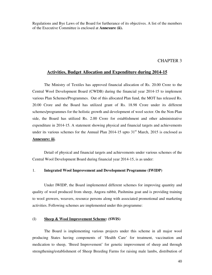Regulations and Bye Laws of the Board for furtherance of its objectives. A list of the members of the Executive Committee is enclosed at **Annexure (ii).**

### CHAPTER 3

### **Activities, Budget Allocation and Expenditure during 2014-15**

 The Ministry of Textiles has approved financial allocation of Rs. 20.00 Crore to the Central Wool Development Board (CWDB) during the financial year 2014-15 to implement various Plan Schemes/Programmes. Out of this allocated Plan fund, the MOT has released Rs. 20.00 Crore and the Board has utilized grant of Rs. 18.98 Crore under its different schemes/programmes for the holistic growth and development of wool sector. On the Non-Plan side, the Board has utilized Rs. 2.00 Crore for establishment and other administrative expenditure in 2014-15. A statement showing physical and financial targets and achievements under its various schemes for the Annual Plan  $2014-15$  upto  $31<sup>st</sup>$  March, 2015 is enclosed as **Annexure: iii.** 

 Detail of physical and financial targets and achievements under various schemes of the Central Wool Development Board during financial year 2014-15, is as under:

### 1. **Integrated Wool Improvement and Development Programme (IWIDP)**

 Under IWIDP, the Board implemented different schemes for improving quantity and quality of wool produced from sheep, Angora rabbit, Pashmina goat and is providing training to wool growers, weavers, resource persons along with associated promotional and marketing activities. Following schemes are implemented under this programme:

### (I) **Sheep & Wool Improvement Scheme: (SWIS)**

 The Board is implementing various projects under this scheme in all major wool producing States having components of 'Health Care' for treatment, vaccination and medication to sheep, 'Breed Improvement' for genetic improvement of sheep and through strengthening/establishment of Sheep Breeding Farms for raising male lambs, distribution of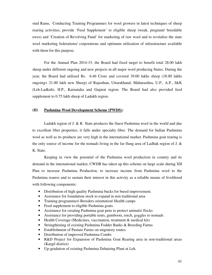stud Rams, Conducting Training Programmes for wool growers in latest techniques of sheep rearing activities, provide 'Feed Supplement' to eligible sheep (weak, pregnant/ breedable ewes) and 'Creation of Revolving Fund' for marketing of raw wool and to revitalize the state wool marketing federations/ corporations and optimum utilization of infrastructure available with them for this purpose.

 For the Annual Plan 2014-15, the Board had fixed target to benefit total 28.00 lakh sheep under different ongoing and new projects in all major wool producing States. During the year, the Board had utilized Rs. 6.46 Crore and covered 39.00 lakhs sheep (18.00 lakhs ongoing+ 21.00 lakh new Sheep) of Rajasthan, Uttarakhand, Maharasthra, U.P., A.P., J&K (Leh-Ladkah), H.P., Karnataka and Gujarat region. The Board had also provided feed supplement to 0.75 lakh sheep of Ladakh region.

### **(II) Pashmina Wool Development Scheme (PWDS):**

 Ladakh region of J. & K State produces the finest Pashmina wool in the world and due to excellent fiber properties, it falls under specialty fiber. The demand for Indian Pashmina wool as well as its products are very high in the international market. Pashmina goat rearing is the only source of income for the nomads living in the far flung area of Ladhak region of J. & K. State.

 Keeping in view the potential of the Pashmina wool production in country and its demand in the international market, CWDB has taken up this scheme on large scale during XII Plan to increase Pashmina Production, to increase income from Pashmina wool to the Pashmina rearers and to sustain their interest in this activity as a reliable means of livelihood with following components:

- Distribution of high quality Pashmina bucks for breed improvement.
- Assistance for foundation stock to expand in non traditional area
- Training programmes\ Breeders orientation\ Health camps
- Feed supplement to eligible Pashmina goats
- Assistance for creating Pashmina goat pens to protect animals/ flocks
- Assistance for providing portable tents, gumboots, torch, goggles to nomads
- Health Coverage (Medicines, vaccination, treatment & medical kit)
- Strengthening of existing Pashmina Fodder Banks & Breeding Farms
- Establishment of Pasture Farms on migratory routes.
- Distribution of improved Pashmina Combs
- R&D Project for Expansion of Pashmina Goat Rearing area in non-traditional areas (Kargil district)
- Up-gradation of existing Pashmina Dehairing Plant at Leh.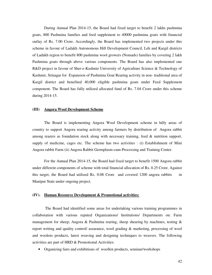During Annual Plan 2014-15, the Board had fixed target to benefit 2 lakhs pashmina goats, 800 Pashmina families and feed supplement to 40000 pashmina goats with financial outlay of Rs. 7.00 Crore. Accordingly, the Board has implemented two projects under this scheme in favour of Ladakh Autonomous Hill Development Council, Leh and Kargil districts of Ladakh region to benefit 800 pashmina wool growers (Nomads) families by covering 2 lakh Pashmina goats through above various components. The Board has also implemented one R&D project in favour of Sher-e-Kashmir University of Agriculture Science & Technology of Kashmir, Srinagar for Expansion of Pashmina Goat Rearing activity in non- traditional area of Kargil district and benefited 40,000 eligible pashmina goats under Feed Supplement component. The Board has fully utilized allocated fund of Rs. 7.04 Crore under this scheme during 2014-15.

### **(III) Angora Wool Development Scheme**

 The Board is implementing Angora Wool Development scheme in hilly areas of country to support Angora rearing activity among farmers by distribution of Angora rabbit among rearers as foundation stock along with necessary training, feed & nutrition support, supply of medicine, cages etc. The scheme has two activities : (i) Establishment of Mini Angora rabbit Farm (ii) Angora Rabbit Germplasm-cum-Processing and Training Center.

 For the Annual Plan 2014-15, the Board had fixed target to benefit 1500 Angora rabbit under different components of scheme with total financial allocation of Rs. 0.25 Crore. Against this target, the Board had utilized Rs. 0.08 Crore and covered 1200 angora rabbits in Manipur State under ongoing project.

#### **(IV). Human Resource Development & Promotional activities:**

 The Board had identified some areas for undertaking various training programmes in collaboration with various reputed Organizations/ Institutions/ Departments on: Farm management for sheep; Angora & Pashmina rearing, sheep shearing by machines, testing  $\&$ report writing and quality control/ assurance, wool grading & marketing, processing of wool and woolens products, latest weaving and designing techniques to weavers. The following activities are part of HRD & Promotional Activities:

• Organizing fairs and exhibitions of woollen products, seminar/workshops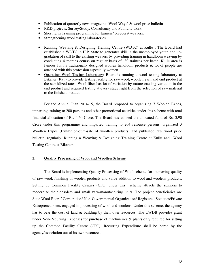- Publication of quarterly news magazine 'Wool Ways' & wool price bulletin
- R&D projects, Survey/Study, Consultancy and Publicity work.
- Short term Training programme for farmers/ breeders/ weavers.
- Strengthening wool testing laboratories.
- Running Weaving & Designing Training Centre (WDTC) at Kullu : The Board had established a WDTC in H.P. State to generates skill in the unemployed youth and upgradation of skill to the existing weavers by providing training in handloom weaving by conducting 4 months course on regular basis of 30 trainees per batch. Kullu area is famous for its traditionally designed woolen handloom products & lot of people are attached with this profession especially women.
- Operating Wool Testing Laboratory: Board is running a wool testing laboratory at Bikaner (Raj.) to provide testing facility for raw wool, woollen yarn and end product at the subsidized rates. Wool fiber has lot of variation by nature causing variation in the end product and required testing at every stage right from the selection of raw material to the finished product.

For the Annual Plan 2014-15, the Board proposed to organizing 7 Woolen Expos, imparting training to 200 persons and other promotional activities under this scheme with total financial allocation of Rs. 4.50 Crore. The Board has utilized the allocated fund of Rs. 3.90 Crore under this programme and imparted training to 204 resource persons, organized 3 Woollen Expos (Exhibition-cum-sale of woollen products) and published raw wool price bulletin, regularly. Running a Weaving & Designing Training Centre at Kullu and Wool Testing Centre at Bikaner.

### **2. Quality Processing of Wool and Woollen Scheme**

 The Board is implementing Quality Processing of Wool scheme for improving quality of raw wool, finishing of woolen products and value addition to wool and woolens products. Setting up Common Facility Centres (CFC) under this scheme attracts the spinners to modernize their obsolete and small yarn-manufacturing units. The project beneficiaries are State Wool Board/ Corporation/ Non-Governmental Organization/ Registered Societies/Private Entrepreneurs etc. engaged in processing of wool and woolens. Under this scheme, the agency has to bear the cost of land & building by their own resources. The CWDB provides grant under Non-Recurring Expenses for purchase of machineries & plants only required for setting up the Common Facility Centre (CFC). Recurring Expenditure shall be borne by the agency/association out of its own resources.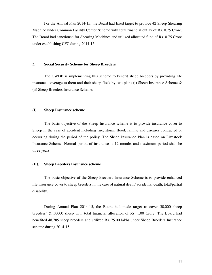For the Annual Plan 2014-15, the Board had fixed target to provide 42 Sheep Shearing Machine under Common Facility Center Scheme with total financial outlay of Rs. 0.75 Crore. The Board had sanctioned for Shearing Machines and utilized allocated fund of Rs. 0.75 Crore under establishing CFC during 2014-15.

### **3. Social Security Scheme for Sheep Breeders**

 The CWDB is implementing this scheme to benefit sheep breeders by providing life insurance coverage to them and their sheep flock by two plans (i) Sheep Insurance Scheme & (ii) Sheep Breeders Insurance Scheme:

### **(I). Sheep Insurance scheme**

 The basic objective of the Sheep Insurance scheme is to provide insurance cover to Sheep in the case of accident including fire, storm, flood, famine and diseases contracted or occurring during the period of the policy. The Sheep Insurance Plan is based on Livestock Insurance Scheme. Normal period of insurance is 12 months and maximum period shall be three years.

### **(II). Sheep Breeders Insurance scheme**

 The basic objective of the Sheep Breeders Insurance Scheme is to provide enhanced life insurance cover to sheep breeders in the case of natural death/ accidental death, total/partial disability.

During Annual Plan 2014-15, the Board had made target to cover 30,000 sheep breeders' & 50000 sheep with total financial allocation of Rs. 1.00 Crore. The Board had benefited 48,785 sheep breeders and utilized Rs. 75.00 lakhs under Sheep Breeders Insurance scheme during 2014-15.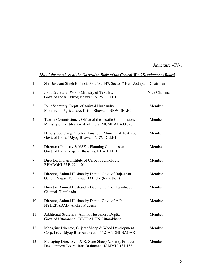Annexure –IV-i

## *List of the members of the Governing Body of the Central Wool Development Board*

| 1.  | Shri Jaswant Singh Bishnoi, Plot No. 147, Sector 7 Ext., Jodhpur                                                  | Chairman      |
|-----|-------------------------------------------------------------------------------------------------------------------|---------------|
| 2.  | Joint Secretary (Wool) Ministry of Textiles,<br>Govt. of Indai, Udyog Bhawan, NEW DELHI                           | Vice Chairman |
| 3.  | Joint Secretary, Deptt. of Animal Husbandry,<br>Ministry of Agriculture, Krishi Bhawan, NEW DELHI                 | Member        |
| 4.  | Textile Commissioner, Office of the Textile Commissioner<br>Ministry of Textiles, Govt. of India, MUMBAI. 400 020 | Member        |
| 5.  | Deputy Secretary/Director (Finance), Ministry of Textiles,<br>Govt. of India, Udyog Bhawan, NEW DELHI             | Member        |
| 6.  | Director (Industry & VSE), Planning Commission,<br>Govt. of India, Yojana Bhawana, NEW DELHI                      | Member        |
| 7.  | Director, Indian Institute of Carpet Technology,<br>BHADOHI, U.P. 221 401                                         | Member        |
| 8.  | Director, Animal Husbandry Deptt., Govt. of Rajasthan<br>Gandhi Nagar, Tonk Road, JAIPUR (Rajasthan)              | Member        |
| 9.  | Director, Animal Husbandry Deptt., Govt. of Tamilnadu,<br>Chennai. Tamilnadu                                      | Member        |
| 10. | Director, Animal Husbandry Deptt., Govt. of A.P.,<br>HYDERABAD, Andhra Pradesh                                    | Member        |
| 11. | Additional Secretary, Animal Husbandry Deptt.,<br>Govt. of Uttaranchal, DEHRADUN, Uttarakhand.                    | Member        |
| 12. | Managing Director, Gujarat Sheep & Wool Development<br>Corp. Ltd., Udyog Bhawan, Sector-11, GANDHI NAGAR          | Member        |
| 13. | Managing Director, J. & K. State Sheep & Sheep Product<br>Development Board, Bari Brahmana, JAMMU, 181 133        | Member        |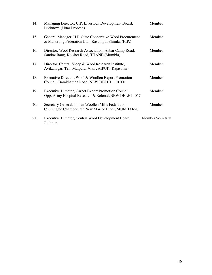| 14. | Managing Director, U.P. Livestock Development Board,<br>Lucknow. (Uttar Pradesh)                                  | Member                  |
|-----|-------------------------------------------------------------------------------------------------------------------|-------------------------|
| 15. | General Manager, H.P. State Cooperative Wool Procurement<br>& Marketing Federation Ltd., Kasumpti, Shimla, (H.P.) | Member                  |
| 16. | Director, Wool Research Association, Akbar Camp Road,<br>Sandoz Baug, Kolshet Road, THANE (Mumbia)                | Member                  |
| 17. | Director, Central Sheep & Wool Research Institute,<br>Avikanagar, Teh. Malpura, Via.: JAIPUR (Rajasthan)          | Member                  |
| 18. | Executive Director, Wool & Woollen Export Promotion<br>Council, Barakhamba Road, NEW DELHI 110 001                | Member                  |
| 19. | Executive Director, Carpet Export Promotion Council,<br>Opp. Army Hospital Research & Referral, NEW DELHI-057     | Member                  |
| 20. | Secretary General, Indian Woollen Mills Federation,<br>Churchgate Chamber, 5th New Marine Lines, MUMBAI-20        | Member                  |
| 21. | Executive Director, Central Wool Development Board,<br>Jodhpur.                                                   | <b>Member Secretary</b> |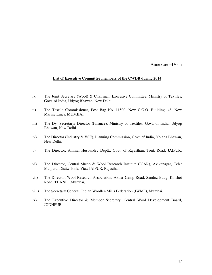Annexure –IV- ii

### **List of Executive Committee members of the CWDB during 2014**

- i). The Joint Secretary (Wool) & Chairman, Executive Committee, Ministry of Textiles, Govt. of India, Udyog Bhawan, New Delhi.
- ii) The Textile Commissioner, Post Bag No. 11500, New C.G.O. Building, 48, New Marine Lines, MUMBAI.
- iii) The Dy. Secretary/ Director (Finance), Ministry of Textiles, Govt. of India, Udyog Bhawan, New Delhi.
- iv) The Director (Industry & VSE), Planning Commission, Govt. of India, Yojana Bhawan, New Delhi.
- v) The Director, Animal Husbandry Deptt., Govt. of Rajasthan, Tonk Road, JAIPUR.
- vi) The Director, Central Sheep & Wool Research Institute (ICAR), Avikanagar, Teh.: Malpura, Distt.: Tonk, Via.: JAIPUR, Rajasthan.
- vii) The Director, Wool Research Association, Akbar Camp Road, Sandoz Baug, Kolshet Road, THANE. (Mumbai)
- viii) The Secretary General, Indian Woollen Mills Federation (IWMF), Mumbai.
- ix) The Executive Director & Member Secretary, Central Wool Development Board, JODHPUR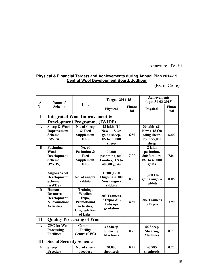## Annexure –IV- iii

## **Physical & Financial Targets and Achievements during Annual Plan 2014-15 Central Wool Development Board, Jodhpur**

(Rs. in Crore)

| S            | Name of                                  |                                      | <b>Targets 2014-15</b>           |                      | <b>Achievements</b><br>$(upto 31-03-2015)$ |               |
|--------------|------------------------------------------|--------------------------------------|----------------------------------|----------------------|--------------------------------------------|---------------|
| N            | <b>Scheme</b>                            | Unit                                 | <b>Physical</b>                  | <b>Financ</b><br>ial | <b>Physical</b>                            | Finan<br>cial |
| I            | <b>Integrated Wool Improvement &amp;</b> |                                      |                                  |                      |                                            |               |
|              |                                          | <b>Development Programme (IWIDP)</b> |                                  |                      |                                            |               |
| $\mathbf{A}$ | Sheep & Wool                             | No. of sheep                         | 28 lakh (10                      |                      | 39 lakh (21                                |               |
|              | Improvement                              | & Feed                               | $New + 18 On$                    |                      | $New + 18 On$                              |               |
|              | <b>Scheme</b>                            | <b>Supplement</b>                    | going sheep,                     | 6.50                 | going sheep,                               | 6.46          |
|              | (SWIS)                                   | (FS)                                 | FS to 75,000                     |                      | FS to 75,000                               |               |
|              |                                          |                                      | sheep                            |                      | sheep                                      |               |
| B            | Pashmina                                 | No. of                               |                                  |                      | 2 lakh                                     |               |
|              | <b>Wool</b>                              | Pashmina &<br>Feed                   | 2 lakh                           | 7.00                 | pashmina,<br>800 families,                 | 7.04          |
|              | <b>Development</b><br><b>Scheme</b>      | <b>Supplement</b>                    | pashmina, 800<br>families, FS to |                      | FS to 40,000                               |               |
|              | (PWDS)                                   | (FS)                                 | 40,000 goats                     |                      | goats                                      |               |
|              |                                          |                                      |                                  |                      |                                            |               |
| $\mathbf C$  | <b>Angora Wool</b>                       |                                      | 1,500 (1200                      |                      |                                            |               |
|              | <b>Development</b>                       | No. of angora                        | Ongoing + 300                    | 0.25                 | 1,200 On<br>going angora                   | 0.08          |
|              | <b>Scheme</b>                            | rabbits                              | New) angora                      |                      | rabbits                                    |               |
|              | (AWDS)                                   |                                      | rabbits                          |                      |                                            |               |
| D            | Human                                    | Training,                            |                                  |                      |                                            |               |
|              | <b>Resource</b>                          | Woollen                              | 200 Trainees,                    |                      |                                            |               |
|              | <b>Development</b>                       | Expo,                                | 7 Expos & 3                      |                      | <b>204 Trainees</b>                        |               |
|              | & Promotional<br><b>Activities</b>       | <b>Promotional</b>                   | Labs up-                         | 4.50                 | 3 Expos                                    | 3.90          |
|              |                                          | Activities,<br><b>Up-gradation</b>   | gradation                        |                      |                                            |               |
|              |                                          | of Labs.                             |                                  |                      |                                            |               |
| $\mathbf{I}$ | <b>Quality Processing of Wool</b>        |                                      |                                  |                      |                                            |               |
| $\mathbf{A}$ | <b>CFC for Wool</b>                      | Common                               | 42 Sheep                         |                      | 46 Sheep                                   |               |
|              | Processing                               | <b>Facility</b>                      | <b>Shearing</b>                  | 0.75                 | <b>Shearing</b>                            | 0.75          |
|              | <b>Facilities</b>                        | Centre (CFC)                         | <b>Machines</b>                  |                      | <b>Machines</b>                            |               |
| Ш            | <b>Social Security Scheme</b>            |                                      |                                  |                      |                                            |               |
| $\mathbf{A}$ | <b>Sheep</b>                             | No. of sheep                         | 30,000                           | 0.75                 | 48,785                                     | 0.75          |
|              | <b>Breeders</b>                          | breeders                             | shepherds                        |                      | shepherds                                  |               |